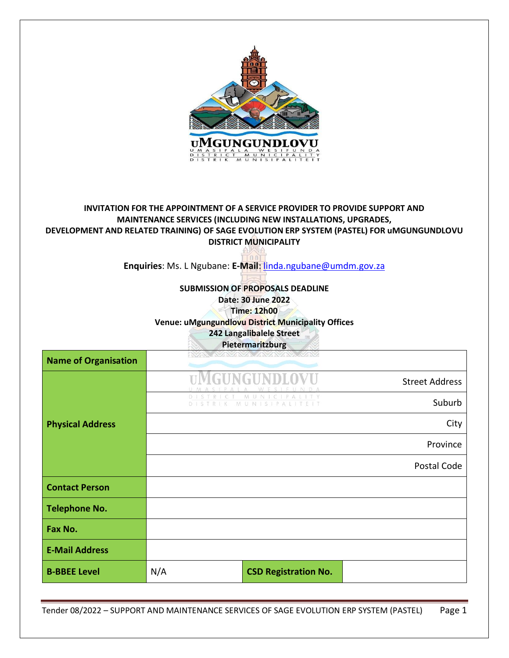

# **INVITATION FOR THE APPOINTMENT OF A SERVICE PROVIDER TO PROVIDE SUPPORT AND MAINTENANCE SERVICES (INCLUDING NEW INSTALLATIONS, UPGRADES, DEVELOPMENT AND RELATED TRAINING) OF SAGE EVOLUTION ERP SYSTEM (PASTEL) FOR uMGUNGUNDLOVU DISTRICT MUNICIPALITY**

**Enquiries**: Ms. L Ngubane: **E-Mail**: [linda.ngubane@umdm.gov.za](mailto:linda.ngubane@umdm.gov.za)

# **SUBMISSION OF PROPOSALS DEADLINE Date: 30 June 2022**

**Time: 12h00**

**Venue: uMgungundlovu District Municipality Offices**

**242 Langalibalele Street**

**Pietermaritzburg**

| <b>Name of Organisation</b> |                |                                     |                       |
|-----------------------------|----------------|-------------------------------------|-----------------------|
|                             | THNGHI         |                                     | <b>Street Address</b> |
|                             | D <sub>1</sub> | M<br>P.<br>UN<br>MUNISIP<br>ALITEIT | Suburb                |
| <b>Physical Address</b>     |                |                                     | City                  |
|                             |                |                                     | Province              |
|                             |                |                                     | Postal Code           |
| <b>Contact Person</b>       |                |                                     |                       |
| <b>Telephone No.</b>        |                |                                     |                       |
| Fax No.                     |                |                                     |                       |
| <b>E-Mail Address</b>       |                |                                     |                       |
| <b>B-BBEE Level</b>         | N/A            | <b>CSD Registration No.</b>         |                       |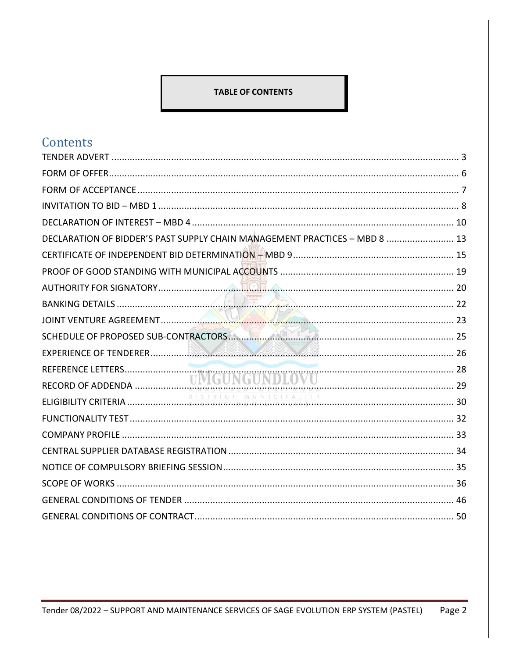# **TABLE OF CONTENTS**

# Contents

| DECLARATION OF BIDDER'S PAST SUPPLY CHAIN MANAGEMENT PRACTICES - MBD 8  13 |  |
|----------------------------------------------------------------------------|--|
|                                                                            |  |
|                                                                            |  |
|                                                                            |  |
|                                                                            |  |
|                                                                            |  |
|                                                                            |  |
|                                                                            |  |
|                                                                            |  |
|                                                                            |  |
|                                                                            |  |
|                                                                            |  |
|                                                                            |  |
|                                                                            |  |
|                                                                            |  |
|                                                                            |  |
|                                                                            |  |
|                                                                            |  |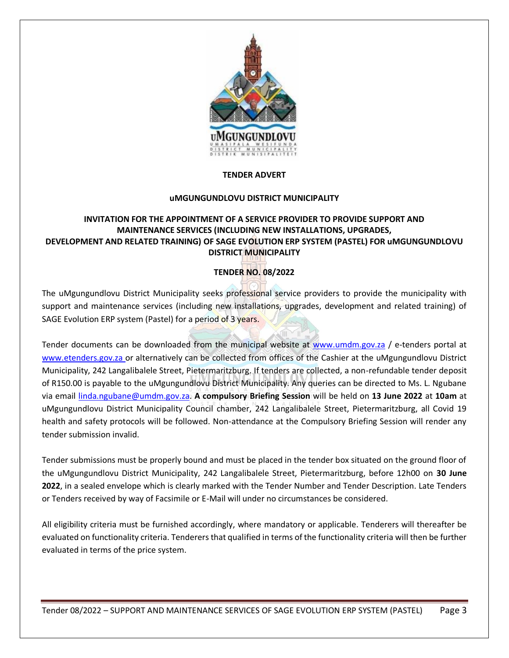

# **TENDER ADVERT**

#### **uMGUNGUNDLOVU DISTRICT MUNICIPALITY**

# <span id="page-2-0"></span>**INVITATION FOR THE APPOINTMENT OF A SERVICE PROVIDER TO PROVIDE SUPPORT AND MAINTENANCE SERVICES (INCLUDING NEW INSTALLATIONS, UPGRADES, DEVELOPMENT AND RELATED TRAINING) OF SAGE EVOLUTION ERP SYSTEM (PASTEL) FOR uMGUNGUNDLOVU DISTRICT MUNICIPALITY**

# **TENDER NO. 08/2022**

The uMgungundlovu District Municipality seeks professional service providers to provide the municipality with support and maintenance services (including new installations, upgrades, development and related training) of SAGE Evolution ERP system (Pastel) for a period of 3 years.

Tender documents can be downloaded from the municipal website at [www.umdm.gov.za](http://www.umdm.gov.za/) / e-tenders portal at [www.etenders.gov.za](mailto:adele.dorasamy@umdm.gov.za) or alternatively can be collected from offices of the Cashier at the uMgungundlovu District Municipality, 242 Langalibalele Street, Pietermaritzburg. If tenders are collected, a non-refundable tender deposit of R150.00 is payable to the uMgungundlovu District Municipality. Any queries can be directed to Ms. L. Ngubane via email [linda.ngubane@umdm.gov.za.](mailto:linda.ngubane@umdm.gov.za) **A compulsory Briefing Session** will be held on **13 June 2022** at **10am** at uMgungundlovu District Municipality Council chamber, 242 Langalibalele Street, Pietermaritzburg, all Covid 19 health and safety protocols will be followed. Non-attendance at the Compulsory Briefing Session will render any tender submission invalid.

Tender submissions must be properly bound and must be placed in the tender box situated on the ground floor of the uMgungundlovu District Municipality, 242 Langalibalele Street, Pietermaritzburg, before 12h00 on **30 June 2022**, in a sealed envelope which is clearly marked with the Tender Number and Tender Description. Late Tenders or Tenders received by way of Facsimile or E-Mail will under no circumstances be considered.

All eligibility criteria must be furnished accordingly, where mandatory or applicable. Tenderers will thereafter be evaluated on functionality criteria. Tenderers that qualified in terms of the functionality criteria will then be further evaluated in terms of the price system.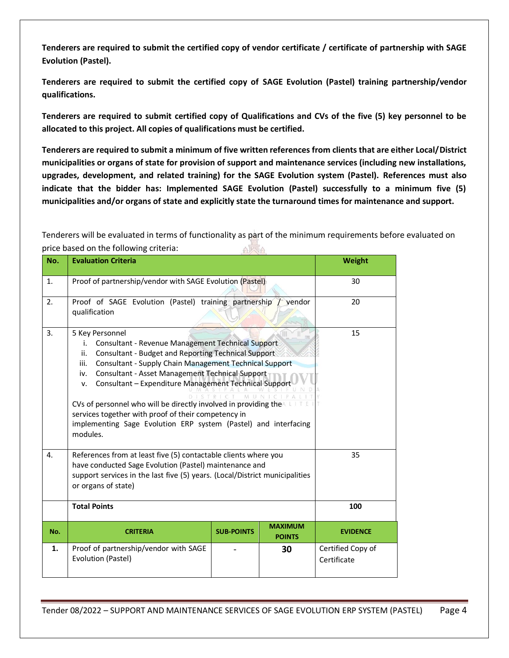**Tenderers are required to submit the certified copy of vendor certificate / certificate of partnership with SAGE Evolution (Pastel).** 

**Tenderers are required to submit the certified copy of SAGE Evolution (Pastel) training partnership/vendor qualifications.**

**Tenderers are required to submit certified copy of Qualifications and CVs of the five (5) key personnel to be allocated to this project. All copies of qualifications must be certified.**

**Tenderers are required to submit a minimum of five written references from clients that are either Local/District municipalities or organs of state for provision of support and maintenance services (including new installations, upgrades, development, and related training) for the SAGE Evolution system (Pastel). References must also indicate that the bidder has: Implemented SAGE Evolution (Pastel) successfully to a minimum five (5) municipalities and/or organs of state and explicitly state the turnaround times for maintenance and support.**

Tenderers will be evaluated in terms of functionality as part of the minimum requirements before evaluated on price based on the following criteria: AWA

| No. | <b>Evaluation Criteria</b>                                                                                                                                                                                                                                                                                                                                                                                                                                                                                                                            |                   | Weight                          |                                  |
|-----|-------------------------------------------------------------------------------------------------------------------------------------------------------------------------------------------------------------------------------------------------------------------------------------------------------------------------------------------------------------------------------------------------------------------------------------------------------------------------------------------------------------------------------------------------------|-------------------|---------------------------------|----------------------------------|
| 1.  | Proof of partnership/vendor with SAGE Evolution (Pastel)                                                                                                                                                                                                                                                                                                                                                                                                                                                                                              |                   | 30                              |                                  |
| 2.  | Proof of SAGE Evolution (Pastel) training partnership<br>qualification                                                                                                                                                                                                                                                                                                                                                                                                                                                                                | vendor            | 20                              |                                  |
| 3.  | 5 Key Personnel<br><b>Consultant - Revenue Management Technical Support</b><br>i.<br>Consultant - Budget and Reporting Technical Support<br>ii.<br>Consultant - Supply Chain Management Technical Support<br>iii.<br>Consultant - Asset Management Technical Support<br>iv.<br>Consultant - Expenditure Management Technical Support<br>v.<br>CVs of personnel who will be directly involved in providing the A<br>services together with proof of their competency in<br>implementing Sage Evolution ERP system (Pastel) and interfacing<br>modules. |                   | 15                              |                                  |
| 4.  | References from at least five (5) contactable clients where you<br>have conducted Sage Evolution (Pastel) maintenance and<br>support services in the last five (5) years. (Local/District municipalities<br>or organs of state)                                                                                                                                                                                                                                                                                                                       |                   | 35                              |                                  |
|     | <b>Total Points</b>                                                                                                                                                                                                                                                                                                                                                                                                                                                                                                                                   | 100               |                                 |                                  |
| No. | <b>CRITERIA</b>                                                                                                                                                                                                                                                                                                                                                                                                                                                                                                                                       | <b>SUB-POINTS</b> | <b>MAXIMUM</b><br><b>POINTS</b> | <b>EVIDENCE</b>                  |
| 1.  | Proof of partnership/vendor with SAGE<br>Evolution (Pastel)                                                                                                                                                                                                                                                                                                                                                                                                                                                                                           |                   | 30                              | Certified Copy of<br>Certificate |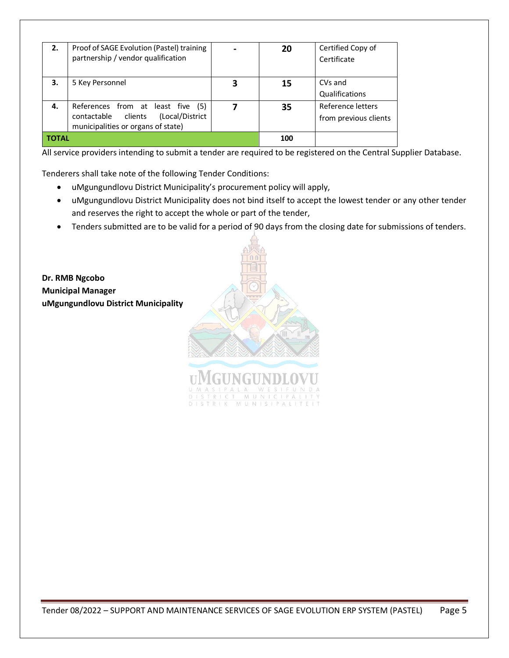| 2.    | Proof of SAGE Evolution (Pastel) training<br>partnership / vendor qualification                                   |   | 20  | Certified Copy of<br>Certificate           |
|-------|-------------------------------------------------------------------------------------------------------------------|---|-----|--------------------------------------------|
| 3.    | 5 Key Personnel                                                                                                   | 3 | 15  | CVs and<br>Qualifications                  |
| 4.    | References from at least five (5)<br>(Local/District<br>contactable clients<br>municipalities or organs of state) |   | 35  | Reference letters<br>from previous clients |
| TOTAL |                                                                                                                   |   | 100 |                                            |

All service providers intending to submit a tender are required to be registered on the Central Supplier Database.

Tenderers shall take note of the following Tender Conditions:

- uMgungundlovu District Municipality's procurement policy will apply,
- uMgungundlovu District Municipality does not bind itself to accept the lowest tender or any other tender and reserves the right to accept the whole or part of the tender,
- Tenders submitted are to be valid for a period of 90 days from the closing date for submissions of tenders.

**Dr. RMB Ngcobo Municipal Manager uMgungundlovu District Municipality**



**IINGU**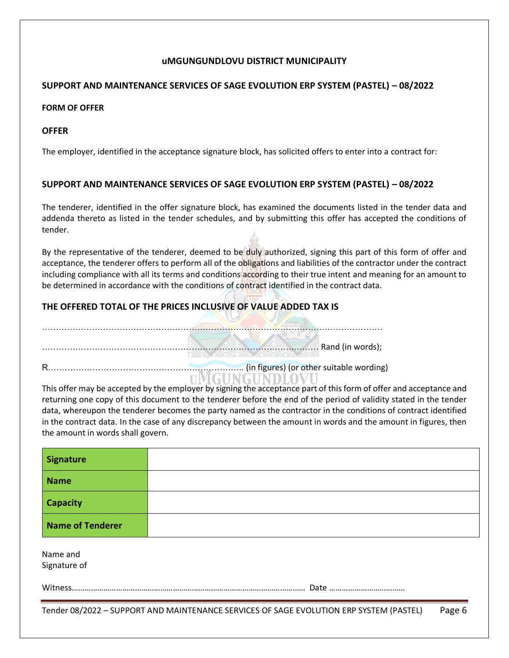# **uMGUNGUNDLOVU DISTRICT MUNICIPALITY**

# **SUPPORT AND MAINTENANCE SERVICES OF SAGE EVOLUTION ERP SYSTEM (PASTEL) – 08/2022**

# <span id="page-5-0"></span>**FORM OF OFFER**

# **OFFER**

The employer, identified in the acceptance signature block, has solicited offers to enter into a contract for:

# **SUPPORT AND MAINTENANCE SERVICES OF SAGE EVOLUTION ERP SYSTEM (PASTEL) – 08/2022**

The tenderer, identified in the offer signature block, has examined the documents listed in the tender data and addenda thereto as listed in the tender schedules, and by submitting this offer has accepted the conditions of tender.

By the representative of the tenderer, deemed to be duly authorized, signing this part of this form of offer and acceptance, the tenderer offers to perform all of the obligations and liabilities of the contractor under the contract including compliance with all its terms and conditions according to their true intent and meaning for an amount to be determined in accordance with the conditions of contract identified in the contract data.

# **THE OFFERED TOTAL OF THE PRICES INCLUSIVE OF VALUE ADDED TAX IS**

| (in figures) (or other suitable wording) (and in the suitable wording) |  |
|------------------------------------------------------------------------|--|

This offer may be accepted by the employer by signing the acceptance part of this form of offer and acceptance and returning one copy of this document to the tenderer before the end of the period of validity stated in the tender data, whereupon the tenderer becomes the party named as the contractor in the conditions of contract identified in the contract data. In the case of any discrepancy between the amount in words and the amount in figures, then the amount in words shall govern.

| <b>Signature</b>         |                                                                                         |        |
|--------------------------|-----------------------------------------------------------------------------------------|--------|
| <b>Name</b>              |                                                                                         |        |
| <b>Capacity</b>          |                                                                                         |        |
| <b>Name of Tenderer</b>  |                                                                                         |        |
| Name and<br>Signature of |                                                                                         |        |
|                          |                                                                                         |        |
|                          | Tender 08/2022 - SUPPORT AND MAINTENANCE SERVICES OF SAGE EVOLUTION ERP SYSTEM (PASTEL) | Page 6 |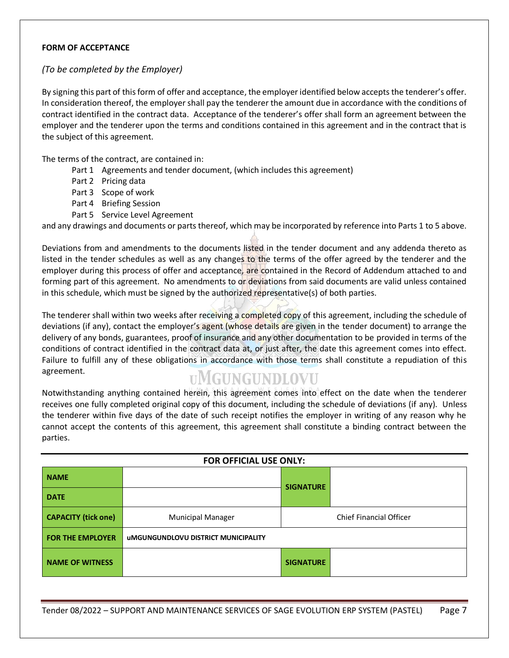### <span id="page-6-0"></span>**FORM OF ACCEPTANCE**

# *(To be completed by the Employer)*

By signing this part of this form of offer and acceptance, the employer identified below accepts the tenderer's offer. In consideration thereof, the employer shall pay the tenderer the amount due in accordance with the conditions of contract identified in the contract data. Acceptance of the tenderer's offer shall form an agreement between the employer and the tenderer upon the terms and conditions contained in this agreement and in the contract that is the subject of this agreement.

The terms of the contract, are contained in:

- Part 1 Agreements and tender document, (which includes this agreement)
- Part 2 Pricing data
- Part 3 Scope of work
- Part 4 Briefing Session
- Part 5 Service Level Agreement

and any drawings and documents or parts thereof, which may be incorporated by reference into Parts 1 to 5 above.

Deviations from and amendments to the documents listed in the tender document and any addenda thereto as listed in the tender schedules as well as any changes to the terms of the offer agreed by the tenderer and the employer during this process of offer and acceptance, are contained in the Record of Addendum attached to and forming part of this agreement. No amendments to or deviations from said documents are valid unless contained in this schedule, which must be signed by the authorized representative(s) of both parties.

The tenderer shall within two weeks after receiving a completed copy of this agreement, including the schedule of deviations (if any), contact the employer's agent (whose details are given in the tender document) to arrange the delivery of any bonds, guarantees, proof of insurance and any other documentation to be provided in terms of the conditions of contract identified in the contract data at, or just after, the date this agreement comes into effect. Failure to fulfill any of these obligations in accordance with those terms shall constitute a repudiation of this agreement.

# **UMGUNGUNDLOVU**

Notwithstanding anything contained herein, this agreement comes into effect on the date when the tenderer receives one fully completed original copy of this document, including the schedule of deviations (if any). Unless the tenderer within five days of the date of such receipt notifies the employer in writing of any reason why he cannot accept the contents of this agreement, this agreement shall constitute a binding contract between the parties.

| FOR OFFICIAL USE ONLY:     |                                            |                  |                         |  |  |  |
|----------------------------|--------------------------------------------|------------------|-------------------------|--|--|--|
| <b>NAME</b>                |                                            | <b>SIGNATURE</b> |                         |  |  |  |
| <b>DATE</b>                |                                            |                  |                         |  |  |  |
| <b>CAPACITY (tick one)</b> | <b>Municipal Manager</b>                   |                  | Chief Financial Officer |  |  |  |
| <b>FOR THE EMPLOYER</b>    | <b>UMGUNGUNDLOVU DISTRICT MUNICIPALITY</b> |                  |                         |  |  |  |
| <b>NAME OF WITNESS</b>     |                                            | <b>SIGNATURE</b> |                         |  |  |  |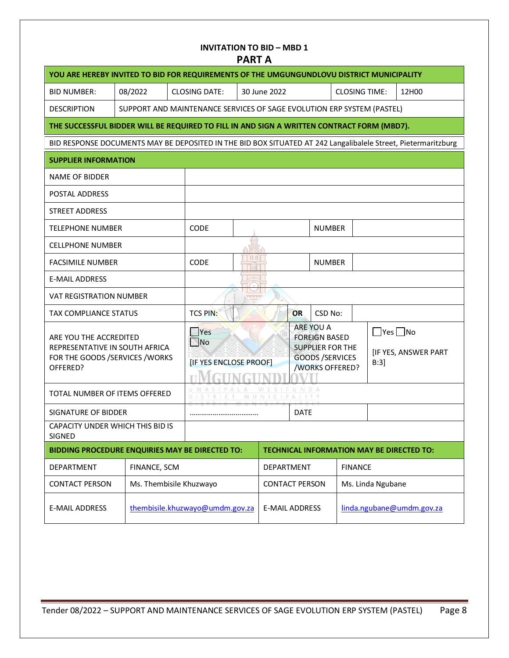<span id="page-7-0"></span>

| <b>INVITATION TO BID - MBD 1</b><br><b>PART A</b>                                                             |                                                                                            |                                                 |                                                                        |                                                                                                                                   |                                                    |                      |                |       |                   |  |
|---------------------------------------------------------------------------------------------------------------|--------------------------------------------------------------------------------------------|-------------------------------------------------|------------------------------------------------------------------------|-----------------------------------------------------------------------------------------------------------------------------------|----------------------------------------------------|----------------------|----------------|-------|-------------------|--|
| YOU ARE HEREBY INVITED TO BID FOR REQUIREMENTS OF THE UMGUNGUNDLOVU DISTRICT MUNICIPALITY                     |                                                                                            |                                                 |                                                                        |                                                                                                                                   |                                                    |                      |                |       |                   |  |
| <b>BID NUMBER:</b>                                                                                            | 08/2022                                                                                    |                                                 | <b>CLOSING DATE:</b>                                                   |                                                                                                                                   | 30 June 2022<br><b>CLOSING TIME:</b>               |                      |                | 12H00 |                   |  |
| <b>DESCRIPTION</b>                                                                                            |                                                                                            |                                                 | SUPPORT AND MAINTENANCE SERVICES OF SAGE EVOLUTION ERP SYSTEM (PASTEL) |                                                                                                                                   |                                                    |                      |                |       |                   |  |
|                                                                                                               | THE SUCCESSFUL BIDDER WILL BE REQUIRED TO FILL IN AND SIGN A WRITTEN CONTRACT FORM (MBD7). |                                                 |                                                                        |                                                                                                                                   |                                                    |                      |                |       |                   |  |
| BID RESPONSE DOCUMENTS MAY BE DEPOSITED IN THE BID BOX SITUATED AT 242 Langalibalele Street, Pietermaritzburg |                                                                                            |                                                 |                                                                        |                                                                                                                                   |                                                    |                      |                |       |                   |  |
| <b>SUPPLIER INFORMATION</b>                                                                                   |                                                                                            |                                                 |                                                                        |                                                                                                                                   |                                                    |                      |                |       |                   |  |
| <b>NAME OF BIDDER</b>                                                                                         |                                                                                            |                                                 |                                                                        |                                                                                                                                   |                                                    |                      |                |       |                   |  |
| POSTAL ADDRESS                                                                                                |                                                                                            |                                                 |                                                                        |                                                                                                                                   |                                                    |                      |                |       |                   |  |
| STREET ADDRESS                                                                                                |                                                                                            |                                                 |                                                                        |                                                                                                                                   |                                                    |                      |                |       |                   |  |
| <b>TELEPHONE NUMBER</b>                                                                                       |                                                                                            |                                                 | <b>CODE</b>                                                            |                                                                                                                                   |                                                    |                      | <b>NUMBER</b>  |       |                   |  |
| <b>CELLPHONE NUMBER</b>                                                                                       |                                                                                            |                                                 |                                                                        | m                                                                                                                                 |                                                    |                      |                |       |                   |  |
| <b>FACSIMILE NUMBER</b>                                                                                       |                                                                                            |                                                 | CODE                                                                   | 00                                                                                                                                |                                                    |                      | <b>NUMBER</b>  |       |                   |  |
| <b>E-MAIL ADDRESS</b>                                                                                         |                                                                                            |                                                 |                                                                        |                                                                                                                                   |                                                    |                      |                |       |                   |  |
| <b>VAT REGISTRATION NUMBER</b>                                                                                |                                                                                            |                                                 |                                                                        |                                                                                                                                   |                                                    |                      |                |       |                   |  |
| <b>TAX COMPLIANCE STATUS</b>                                                                                  |                                                                                            |                                                 | <b>TCS PIN:</b>                                                        |                                                                                                                                   |                                                    | OR                   | CSD No:        |       |                   |  |
| ARE YOU THE ACCREDITED<br>REPRESENTATIVE IN SOUTH AFRICA<br>FOR THE GOODS /SERVICES / WORKS<br>OFFERED?       |                                                                                            | Yes<br>$\mathbb N$ No<br>[IF YES ENCLOSE PROOF] |                                                                        | ARE YOU A<br>$\Box$ Yes $\Box$ No<br><b>FOREIGN BASED</b><br>SUPPLIER FOR THE<br><b>GOODS /SERVICES</b><br>B:3<br>/WORKS OFFERED? |                                                    | [IF YES, ANSWER PART |                |       |                   |  |
| TOTAL NUMBER OF ITEMS OFFERED                                                                                 |                                                                                            |                                                 | IPALA                                                                  | MUNI                                                                                                                              | WESIFUNDA                                          |                      |                |       |                   |  |
| SIGNATURE OF BIDDER                                                                                           |                                                                                            |                                                 |                                                                        | <b>DATE</b>                                                                                                                       |                                                    |                      |                |       |                   |  |
| CAPACITY UNDER WHICH THIS BID IS<br>SIGNED                                                                    |                                                                                            |                                                 |                                                                        |                                                                                                                                   |                                                    |                      |                |       |                   |  |
| BIDDING PROCEDURE ENQUIRIES MAY BE DIRECTED TO:<br><b>TECHNICAL INFORMATION MAY BE DIRECTED TO:</b>           |                                                                                            |                                                 |                                                                        |                                                                                                                                   |                                                    |                      |                |       |                   |  |
| DEPARTMENT                                                                                                    | FINANCE, SCM                                                                               |                                                 |                                                                        | DEPARTMENT                                                                                                                        |                                                    |                      | <b>FINANCE</b> |       |                   |  |
| <b>CONTACT PERSON</b>                                                                                         | Ms. Thembisile Khuzwayo                                                                    |                                                 |                                                                        |                                                                                                                                   | <b>CONTACT PERSON</b>                              |                      |                |       | Ms. Linda Ngubane |  |
| <b>E-MAIL ADDRESS</b>                                                                                         |                                                                                            |                                                 | thembisile.khuzwayo@umdm.gov.za                                        |                                                                                                                                   | linda.ngubane@umdm.gov.za<br><b>E-MAIL ADDRESS</b> |                      |                |       |                   |  |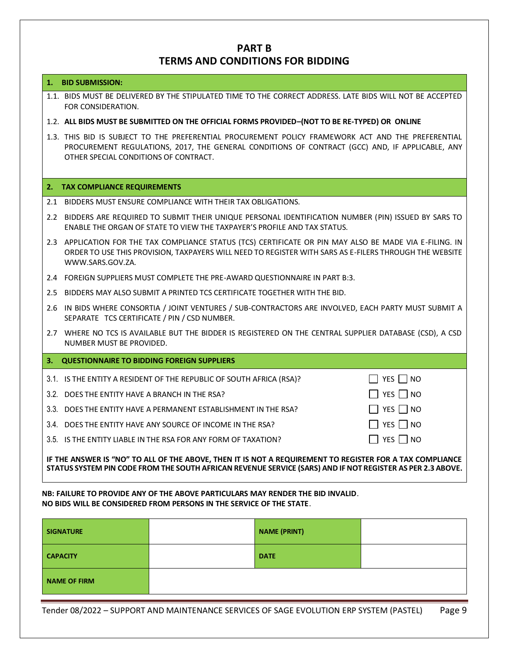# **PART B TERMS AND CONDITIONS FOR BIDDING**

#### **1. BID SUBMISSION:**

- 1.1. BIDS MUST BE DELIVERED BY THE STIPULATED TIME TO THE CORRECT ADDRESS. LATE BIDS WILL NOT BE ACCEPTED FOR CONSIDERATION.
- 1.2. **ALL BIDS MUST BE SUBMITTED ON THE OFFICIAL FORMS PROVIDED–(NOT TO BE RE-TYPED) OR ONLINE**
- 1.3. THIS BID IS SUBJECT TO THE PREFERENTIAL PROCUREMENT POLICY FRAMEWORK ACT AND THE PREFERENTIAL PROCUREMENT REGULATIONS, 2017, THE GENERAL CONDITIONS OF CONTRACT (GCC) AND, IF APPLICABLE, ANY OTHER SPECIAL CONDITIONS OF CONTRACT.

#### **2. TAX COMPLIANCE REQUIREMENTS**

- 2.1 BIDDERS MUST ENSURE COMPLIANCE WITH THEIR TAX OBLIGATIONS.
- 2.2 BIDDERS ARE REQUIRED TO SUBMIT THEIR UNIQUE PERSONAL IDENTIFICATION NUMBER (PIN) ISSUED BY SARS TO ENABLE THE ORGAN OF STATE TO VIEW THE TAXPAYER'S PROFILE AND TAX STATUS.
- 2.3 APPLICATION FOR THE TAX COMPLIANCE STATUS (TCS) CERTIFICATE OR PIN MAY ALSO BE MADE VIA E-FILING. IN ORDER TO USE THIS PROVISION, TAXPAYERS WILL NEED TO REGISTER WITH SARS AS E-FILERS THROUGH THE WEBSITE [WWW.SARS.GOV.ZA.](http://www.sars.gov.za/)
- 2.4 FOREIGN SUPPLIERS MUST COMPLETE THE PRE-AWARD QUESTIONNAIRE IN PART B:3.
- 2.5 BIDDERS MAY ALSO SUBMIT A PRINTED TCS CERTIFICATE TOGETHER WITH THE BID.
- 2.6 IN BIDS WHERE CONSORTIA / JOINT VENTURES / SUB-CONTRACTORS ARE INVOLVED, EACH PARTY MUST SUBMIT A SEPARATE TCS CERTIFICATE / PIN / CSD NUMBER.
- 2.7 WHERE NO TCS IS AVAILABLE BUT THE BIDDER IS REGISTERED ON THE CENTRAL SUPPLIER DATABASE (CSD), A CSD NUMBER MUST BE PROVIDED.

| -3. | <b>QUESTIONNAIRE TO BIDDING FOREIGN SUPPLIERS</b>                    |                          |
|-----|----------------------------------------------------------------------|--------------------------|
|     | 3.1. IS THE ENTITY A RESIDENT OF THE REPUBLIC OF SOUTH AFRICA (RSA)? | YES   NO<br>$\mathsf{I}$ |
|     | 3.2. DOES THE ENTITY HAVE A BRANCH IN THE RSA?                       | YES $\Box$ NO            |
|     | 3.3. DOES THE ENTITY HAVE A PERMANENT ESTABLISHMENT IN THE RSA?      | YES $\Box$ NO            |
|     | 3.4. DOES THE ENTITY HAVE ANY SOURCE OF INCOME IN THE RSA?           | YES   NO                 |
|     | 3.5. IS THE ENTITY LIABLE IN THE RSA FOR ANY FORM OF TAXATION?       | YES     NO               |
|     |                                                                      |                          |

#### **IF THE ANSWER IS "NO" TO ALL OF THE ABOVE, THEN IT IS NOT A REQUIREMENT TO REGISTER FOR A TAX COMPLIANCE STATUS SYSTEM PIN CODE FROM THE SOUTH AFRICAN REVENUE SERVICE (SARS) AND IF NOT REGISTER AS PER 2.3 ABOVE.**

**NB: FAILURE TO PROVIDE ANY OF THE ABOVE PARTICULARS MAY RENDER THE BID INVALID**. **NO BIDS WILL BE CONSIDERED FROM PERSONS IN THE SERVICE OF THE STATE**.

| <b>SIGNATURE</b>    | <b>NAME (PRINT)</b> |  |
|---------------------|---------------------|--|
| <b>CAPACITY</b>     | <b>DATE</b>         |  |
| <b>NAME OF FIRM</b> |                     |  |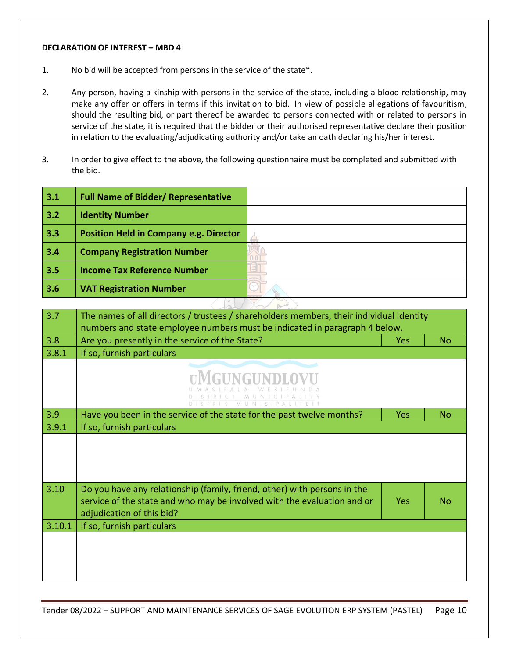#### <span id="page-9-0"></span>**DECLARATION OF INTEREST – MBD 4**

- 1. No bid will be accepted from persons in the service of the state\*.
- 2. Any person, having a kinship with persons in the service of the state, including a blood relationship, may make any offer or offers in terms if this invitation to bid. In view of possible allegations of favouritism, should the resulting bid, or part thereof be awarded to persons connected with or related to persons in service of the state, it is required that the bidder or their authorised representative declare their position in relation to the evaluating/adjudicating authority and/or take an oath declaring his/her interest.
- 3. In order to give effect to the above, the following questionnaire must be completed and submitted with the bid.

| 3.1    | <b>Full Name of Bidder/ Representative</b>                                                                                                                                       |                      |            |           |
|--------|----------------------------------------------------------------------------------------------------------------------------------------------------------------------------------|----------------------|------------|-----------|
| 3.2    | <b>Identity Number</b>                                                                                                                                                           |                      |            |           |
| 3.3    | <b>Position Held in Company e.g. Director</b>                                                                                                                                    |                      |            |           |
| 3.4    | <b>Company Registration Number</b>                                                                                                                                               |                      |            |           |
| 3.5    | <b>Income Tax Reference Number</b>                                                                                                                                               |                      |            |           |
| 3.6    | <b>VAT Registration Number</b>                                                                                                                                                   |                      |            |           |
|        |                                                                                                                                                                                  |                      |            |           |
| 3.7    | The names of all directors / trustees / shareholders members, their individual identity                                                                                          |                      |            |           |
| 3.8    | numbers and state employee numbers must be indicated in paragraph 4 below.<br>Are you presently in the service of the State?                                                     |                      | <b>Yes</b> | <b>No</b> |
| 3.8.1  | If so, furnish particulars                                                                                                                                                       |                      |            |           |
|        |                                                                                                                                                                                  | DISTRIK MUNISIPALITE |            |           |
| 3.9    | Have you been in the service of the state for the past twelve months?                                                                                                            |                      | <b>Yes</b> | <b>No</b> |
| 3.9.1  | If so, furnish particulars                                                                                                                                                       |                      |            |           |
|        |                                                                                                                                                                                  |                      |            |           |
| 3.10   | Do you have any relationship (family, friend, other) with persons in the<br>service of the state and who may be involved with the evaluation and or<br>adjudication of this bid? |                      | <b>Yes</b> | <b>No</b> |
| 3.10.1 | If so, furnish particulars                                                                                                                                                       |                      |            |           |
|        |                                                                                                                                                                                  |                      |            |           |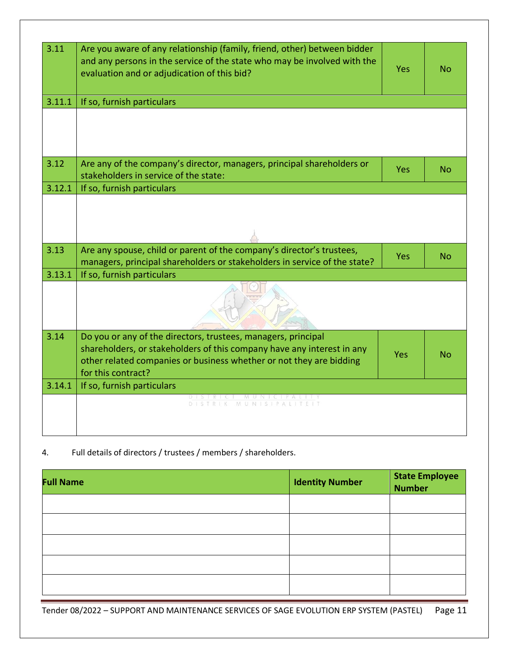| 3.11   | Are you aware of any relationship (family, friend, other) between bidder<br>and any persons in the service of the state who may be involved with the<br>evaluation and or adjudication of this bid?                                  | <b>Yes</b> | No        |
|--------|--------------------------------------------------------------------------------------------------------------------------------------------------------------------------------------------------------------------------------------|------------|-----------|
| 3.11.1 | If so, furnish particulars                                                                                                                                                                                                           |            |           |
|        |                                                                                                                                                                                                                                      |            |           |
| 3.12   | Are any of the company's director, managers, principal shareholders or<br>stakeholders in service of the state:                                                                                                                      | Yes        | <b>No</b> |
| 3.12.1 | If so, furnish particulars                                                                                                                                                                                                           |            |           |
|        |                                                                                                                                                                                                                                      |            |           |
| 3.13   | Are any spouse, child or parent of the company's director's trustees,<br>managers, principal shareholders or stakeholders in service of the state?                                                                                   | <b>Yes</b> | No        |
| 3.13.1 | If so, furnish particulars                                                                                                                                                                                                           |            |           |
|        |                                                                                                                                                                                                                                      |            |           |
| 3.14   | Do you or any of the directors, trustees, managers, principal<br>shareholders, or stakeholders of this company have any interest in any<br>other related companies or business whether or not they are bidding<br>for this contract? | <b>Yes</b> | No        |
| 3.14.1 | If so, furnish particulars                                                                                                                                                                                                           |            |           |
|        | DISTRICT MUNICIPALITY<br>DISTRIK MUNISIPALITEIT                                                                                                                                                                                      |            |           |

4. Full details of directors / trustees / members / shareholders.

| <b>Full Name</b> | <b>Identity Number</b> | <b>State Employee<br/>Number</b> |
|------------------|------------------------|----------------------------------|
|                  |                        |                                  |
|                  |                        |                                  |
|                  |                        |                                  |
|                  |                        |                                  |
|                  |                        |                                  |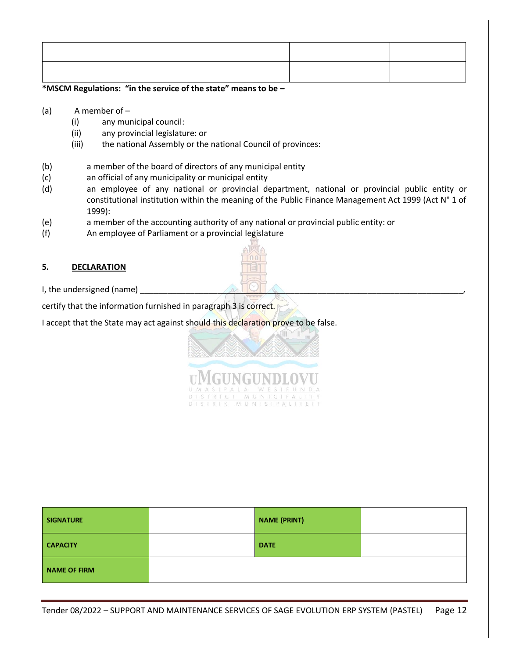# **\*MSCM Regulations: "in the service of the state" means to be –**

- (a) A member of
	- (i) any municipal council:
	- (ii) any provincial legislature: or
	- (iii) the national Assembly or the national Council of provinces:
- (b) a member of the board of directors of any municipal entity
- (c) an official of any municipality or municipal entity
- (d) an employee of any national or provincial department, national or provincial public entity or constitutional institution within the meaning of the Public Finance Management Act 1999 (Act N° 1 of 1999):
- (e) a member of the accounting authority of any national or provincial public entity: or
- (f) An employee of Parliament or a provincial legislature

# **5. DECLARATION**



I, the undersigned (name)

certify that the information furnished in paragraph 3 is correct.

I accept that the State may act against should this declaration prove to be false.



MGUNGUNDLOVU MUNICIP MUNISIPALIT

| <b>SIGNATURE</b>    | <b>NAME (PRINT)</b> |  |
|---------------------|---------------------|--|
| <b>CAPACITY</b>     | <b>DATE</b>         |  |
| <b>NAME OF FIRM</b> |                     |  |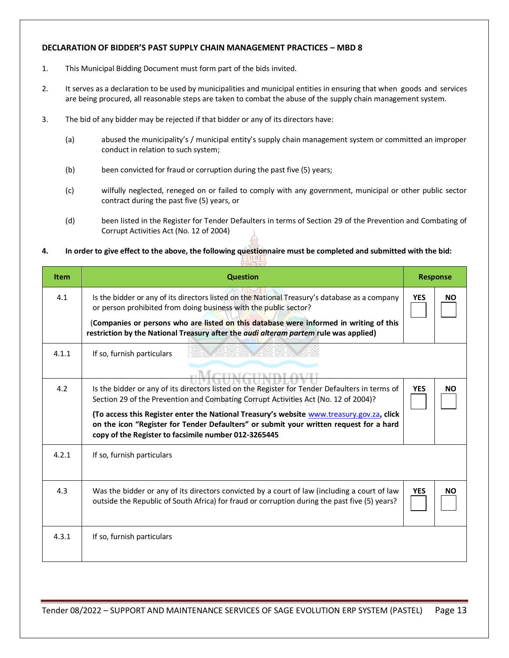### <span id="page-12-0"></span>**DECLARATION OF BIDDER'S PAST SUPPLY CHAIN MANAGEMENT PRACTICES – MBD 8**

- 1. This Municipal Bidding Document must form part of the bids invited.
- 2. It serves as a declaration to be used by municipalities and municipal entities in ensuring that when goods and services are being procured, all reasonable steps are taken to combat the abuse of the supply chain management system.
- 3. The bid of any bidder may be rejected if that bidder or any of its directors have:
	- (a) abused the municipality's / municipal entity's supply chain management system or committed an improper conduct in relation to such system;
	- (b) been convicted for fraud or corruption during the past five (5) years;
	- (c) wilfully neglected, reneged on or failed to comply with any government, municipal or other public sector contract during the past five (5) years, or
	- (d) been listed in the Register for Tender Defaulters in terms of Section 29 of the Prevention and Combating of Corrupt Activities Act (No. 12 of 2004)

# **4. In order to give effect to the above, the following questionnaire must be completed and submitted with the bid:**

| <b>Item</b> | <b>Question</b>                                                                                                                                                                                                                                                                                                                                                                                                                                         |            | <b>Response</b> |
|-------------|---------------------------------------------------------------------------------------------------------------------------------------------------------------------------------------------------------------------------------------------------------------------------------------------------------------------------------------------------------------------------------------------------------------------------------------------------------|------------|-----------------|
| 4.1         | Is the bidder or any of its directors listed on the National Treasury's database as a company<br>or person prohibited from doing business with the public sector?                                                                                                                                                                                                                                                                                       | <b>YES</b> | <b>NO</b>       |
|             | (Companies or persons who are listed on this database were informed in writing of this<br>restriction by the National Treasury after the <i>audi alteram partem</i> rule was applied)                                                                                                                                                                                                                                                                   |            |                 |
| 4.1.1       | If so, furnish particulars                                                                                                                                                                                                                                                                                                                                                                                                                              |            |                 |
| 4.2         | <b>TIMOTIVE</b><br>Is the bidder or any of its directors listed on the Register for Tender Defaulters in terms of<br>Section 29 of the Prevention and Combating Corrupt Activities Act (No. 12 of 2004)?<br>(To access this Register enter the National Treasury's website www.treasury.gov.za, click<br>on the icon "Register for Tender Defaulters" or submit your written request for a hard<br>copy of the Register to facsimile number 012-3265445 | <b>YES</b> | <b>NO</b>       |
| 4.2.1       | If so, furnish particulars                                                                                                                                                                                                                                                                                                                                                                                                                              |            |                 |
| 4.3         | Was the bidder or any of its directors convicted by a court of law (including a court of law<br>outside the Republic of South Africa) for fraud or corruption during the past five (5) years?                                                                                                                                                                                                                                                           | <b>YES</b> | <b>NO</b>       |
| 4.3.1       | If so, furnish particulars                                                                                                                                                                                                                                                                                                                                                                                                                              |            |                 |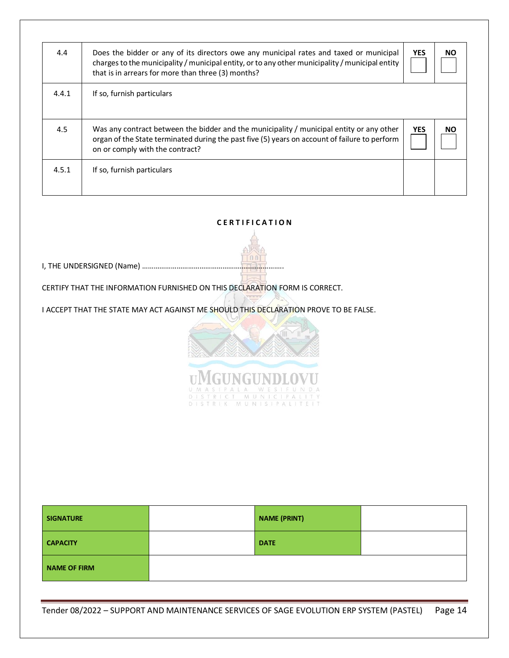| 4.4   | Does the bidder or any of its directors owe any municipal rates and taxed or municipal<br>charges to the municipality / municipal entity, or to any other municipality / municipal entity<br>that is in arrears for more than three (3) months? | <b>YES</b> | <b>NO</b> |
|-------|-------------------------------------------------------------------------------------------------------------------------------------------------------------------------------------------------------------------------------------------------|------------|-----------|
| 4.4.1 | If so, furnish particulars                                                                                                                                                                                                                      |            |           |
| 4.5   | Was any contract between the bidder and the municipality / municipal entity or any other<br>organ of the State terminated during the past five (5) years on account of failure to perform<br>on or comply with the contract?                    | <b>YES</b> | NO.       |
| 4.5.1 | If so, furnish particulars                                                                                                                                                                                                                      |            |           |

# **C E R T I F I C A T I O N**

 $1001$ I, THE UNDERSIGNED (Name) ………………………………………………………………..

CERTIFY THAT THE INFORMATION FURNISHED ON THIS DECLARATION FORM IS CORRECT.

I ACCEPT THAT THE STATE MAY ACT AGAINST ME SHOULD THIS DECLARATION PROVE TO BE FALSE.



MGUNGUNDLOVU CT MUNICIPALI<br>K MUNISIPALITE MUNICIP  $\overline{D \cup S \top R \cup K}$ 

| <b>SIGNATURE</b> | <b>NAME (PRINT)</b> |  |
|------------------|---------------------|--|
| <b>CAPACITY</b>  | <b>DATE</b>         |  |
| NAME OF FIRM     |                     |  |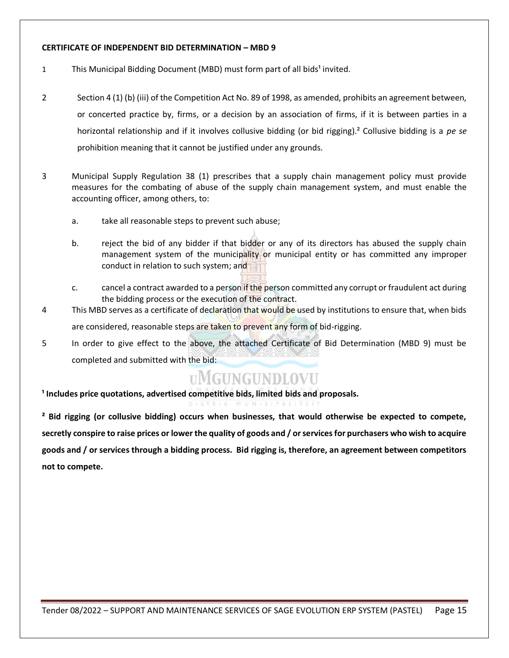### <span id="page-14-0"></span>**CERTIFICATE OF INDEPENDENT BID DETERMINATION – MBD 9**

- 1 This Municipal Bidding Document (MBD) must form part of all bids<sup>1</sup> invited.
- 2 Section 4 (1) (b) (iii) of the Competition Act No. 89 of 1998, as amended, prohibits an agreement between, or concerted practice by, firms, or a decision by an association of firms, if it is between parties in a horizontal relationship and if it involves collusive bidding (or bid rigging).² Collusive bidding is a *pe se* prohibition meaning that it cannot be justified under any grounds.
- 3 Municipal Supply Regulation 38 (1) prescribes that a supply chain management policy must provide measures for the combating of abuse of the supply chain management system, and must enable the accounting officer, among others, to:
	- a. take all reasonable steps to prevent such abuse;
	- b. reject the bid of any bidder if that bidder or any of its directors has abused the supply chain management system of the municipality or municipal entity or has committed any improper conduct in relation to such system; and
	- c. cancel a contract awarded to a person if the person committed any corrupt or fraudulent act during the bidding process or the execution of the contract.
- 4 This MBD serves as a certificate of declaration that would be used by institutions to ensure that, when bids are considered, reasonable steps are taken to prevent any form of bid-rigging.
- 5 In order to give effect to the above, the attached Certificate of Bid Determination (MBD 9) must be completed and submitted with the bid:

# **UMGUNGUNDLOVU**

**¹ Includes price quotations, advertised competitive bids, limited bids and proposals.**

**² Bid rigging (or collusive bidding) occurs when businesses, that would otherwise be expected to compete, secretly conspire to raise prices or lower the quality of goods and / or services for purchasers who wish to acquire goods and / or services through a bidding process. Bid rigging is, therefore, an agreement between competitors not to compete.**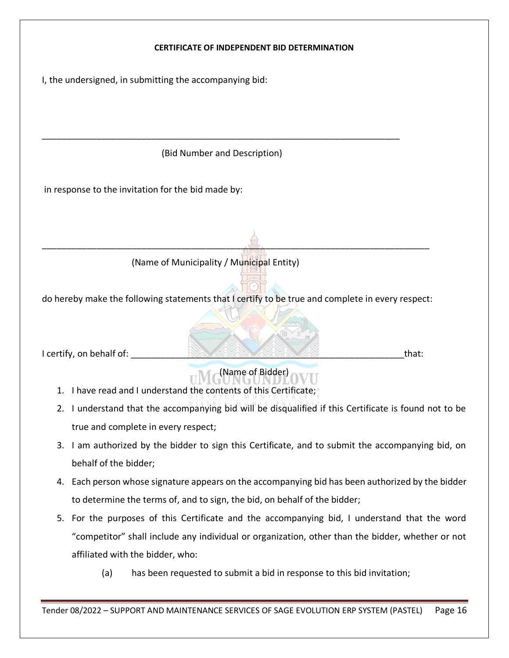

(a) has been requested to submit a bid in response to this bid invitation;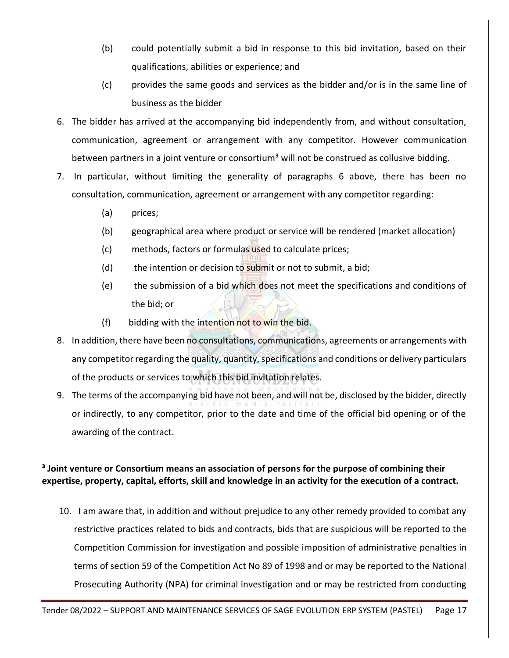- (b) could potentially submit a bid in response to this bid invitation, based on their qualifications, abilities or experience; and
- (c) provides the same goods and services as the bidder and/or is in the same line of business as the bidder
- 6. The bidder has arrived at the accompanying bid independently from, and without consultation, communication, agreement or arrangement with any competitor. However communication between partners in a joint venture or consortium<sup>3</sup> will not be construed as collusive bidding.
- 7. In particular, without limiting the generality of paragraphs 6 above, there has been no consultation, communication, agreement or arrangement with any competitor regarding:
	- (a) prices;
	- (b) geographical area where product or service will be rendered (market allocation)
	- (c) methods, factors or formulas used to calculate prices;
	- (d) the intention or decision to submit or not to submit, a bid;
	- (e) the submission of a bid which does not meet the specifications and conditions of the bid; or
	- (f) bidding with the intention not to win the bid.
- 8. In addition, there have been no consultations, communications, agreements or arrangements with any competitor regarding the quality, quantity, specifications and conditions or delivery particulars of the products or services to which this bid invitation relates.
- 9. The terms of the accompanying bid have not been, and will not be, disclosed by the bidder, directly or indirectly, to any competitor, prior to the date and time of the official bid opening or of the awarding of the contract.

# **³ Joint venture or Consortium means an association of persons for the purpose of combining their expertise, property, capital, efforts, skill and knowledge in an activity for the execution of a contract.**

10. I am aware that, in addition and without prejudice to any other remedy provided to combat any restrictive practices related to bids and contracts, bids that are suspicious will be reported to the Competition Commission for investigation and possible imposition of administrative penalties in terms of section 59 of the Competition Act No 89 of 1998 and or may be reported to the National Prosecuting Authority (NPA) for criminal investigation and or may be restricted from conducting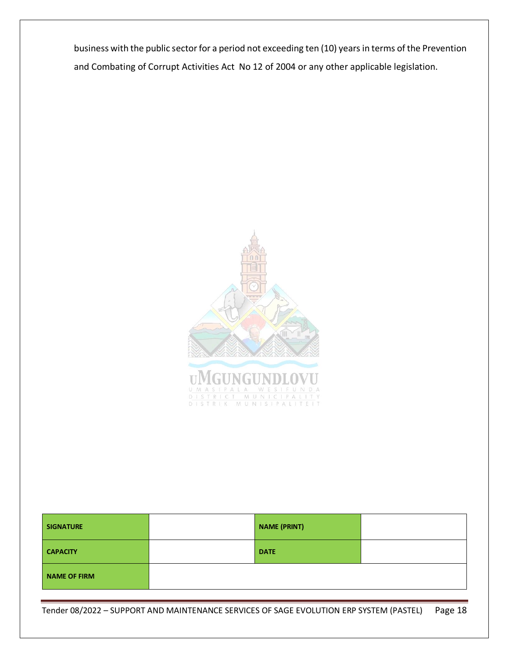business with the public sector for a period not exceeding ten (10) years in terms of the Prevention and Combating of Corrupt Activities Act No 12 of 2004 or any other applicable legislation.



| <b>SIGNATURE</b>    | <b>NAME (PRINT)</b> |  |
|---------------------|---------------------|--|
| <b>CAPACITY</b>     | <b>DATE</b>         |  |
| <b>NAME OF FIRM</b> |                     |  |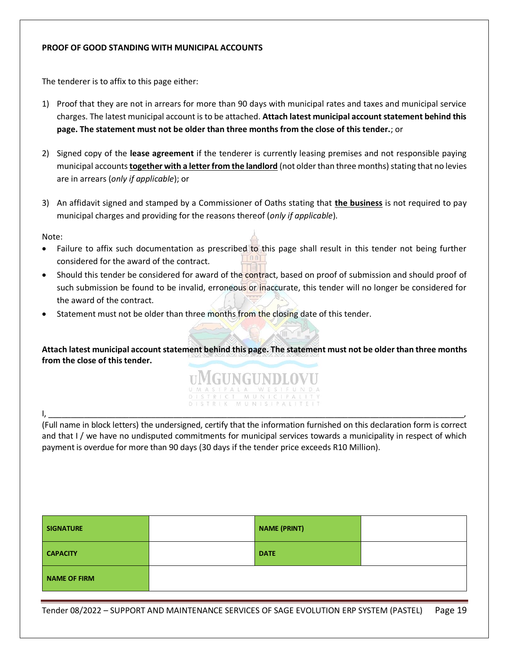### <span id="page-18-0"></span>**PROOF OF GOOD STANDING WITH MUNICIPAL ACCOUNTS**

The tenderer is to affix to this page either:

- 1) Proof that they are not in arrears for more than 90 days with municipal rates and taxes and municipal service charges. The latest municipal account is to be attached. **Attach latest municipal account statement behind this page. The statement must not be older than three months from the close of this tender.**; or
- 2) Signed copy of the **lease agreement** if the tenderer is currently leasing premises and not responsible paying municipal accounts **together with a letter from the landlord** (not older than three months) stating that no levies are in arrears (*only if applicable*); or
- 3) An affidavit signed and stamped by a Commissioner of Oaths stating that **the business** is not required to pay municipal charges and providing for the reasons thereof (*only if applicable*).

Note:

- Failure to affix such documentation as prescribed to this page shall result in this tender not being further considered for the award of the contract.
- Should this tender be considered for award of the contract, based on proof of submission and should proof of such submission be found to be invalid, erroneous or inaccurate, this tender will no longer be considered for the award of the contract.
- Statement must not be older than three months from the closing date of this tender.

**Attach latest municipal account statement behind this page. The statement must not be older than three months from the close of this tender.**



(Full name in block letters) the undersigned, certify that the information furnished on this declaration form is correct and that I / we have no undisputed commitments for municipal services towards a municipality in respect of which payment is overdue for more than 90 days (30 days if the tender price exceeds R10 Million).

| <b>SIGNATURE</b> | <b>NAME (PRINT)</b> |  |
|------------------|---------------------|--|
| <b>CAPACITY</b>  | <b>DATE</b>         |  |
| NAME OF FIRM     |                     |  |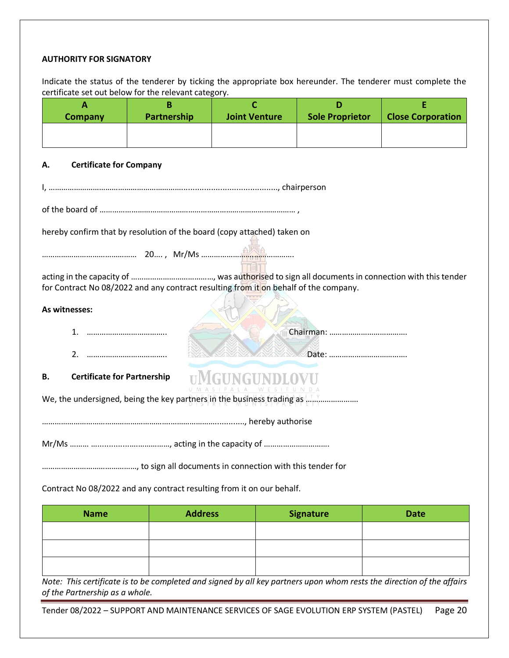### <span id="page-19-0"></span>**AUTHORITY FOR SIGNATORY**

Indicate the status of the tenderer by ticking the appropriate box hereunder. The tenderer must complete the certificate set out below for the relevant category.

| A                                                                      | В           |                                                                                      | D                      | Ε                        |  |  |
|------------------------------------------------------------------------|-------------|--------------------------------------------------------------------------------------|------------------------|--------------------------|--|--|
| <b>Company</b>                                                         | Partnership | <b>Joint Venture</b>                                                                 | <b>Sole Proprietor</b> | <b>Close Corporation</b> |  |  |
|                                                                        |             |                                                                                      |                        |                          |  |  |
| <b>Certificate for Company</b><br>Α.                                   |             |                                                                                      |                        |                          |  |  |
|                                                                        |             |                                                                                      |                        |                          |  |  |
|                                                                        |             |                                                                                      |                        |                          |  |  |
|                                                                        |             | hereby confirm that by resolution of the board (copy attached) taken on              |                        |                          |  |  |
|                                                                        |             |                                                                                      |                        |                          |  |  |
|                                                                        |             | for Contract No 08/2022 and any contract resulting from it on behalf of the company. |                        |                          |  |  |
| As witnesses:                                                          |             |                                                                                      |                        |                          |  |  |
|                                                                        |             |                                                                                      |                        |                          |  |  |
| 2.                                                                     |             |                                                                                      |                        |                          |  |  |
| <b>Certificate for Partnership</b><br>В.                               |             |                                                                                      |                        |                          |  |  |
| We, the undersigned, being the key partners in the business trading as |             |                                                                                      |                        |                          |  |  |
|                                                                        |             |                                                                                      |                        |                          |  |  |
|                                                                        |             |                                                                                      |                        |                          |  |  |
|                                                                        |             |                                                                                      |                        |                          |  |  |

Contract No 08/2022 and any contract resulting from it on our behalf.

| <b>Name</b> | <b>Address</b> | Signature | <b>Date</b> |
|-------------|----------------|-----------|-------------|
|             |                |           |             |
|             |                |           |             |
|             |                |           |             |

*Note: This certificate is to be completed and signed by all key partners upon whom rests the direction of the affairs of the Partnership as a whole.*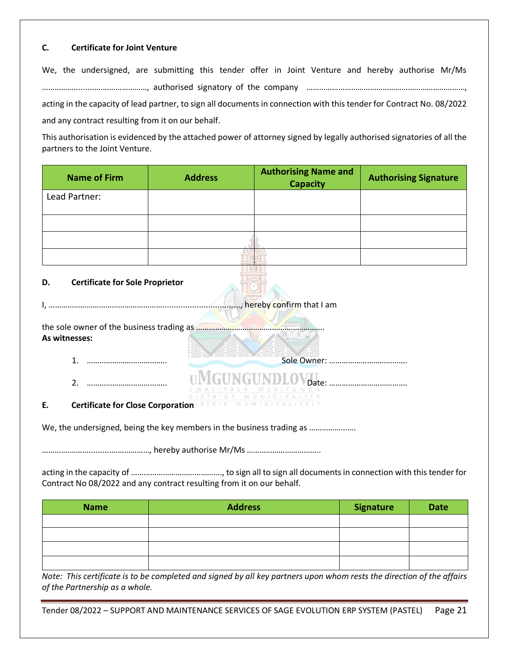# **C. Certificate for Joint Venture**

We, the undersigned, are submitting this tender offer in Joint Venture and hereby authorise Mr/Ms …………….........….…………………, authorised signatory of the company …………………………………………………………………, acting in the capacity of lead partner, to sign all documents in connection with this tender for Contract No. 08/2022 and any contract resulting from it on our behalf.

This authorisation is evidenced by the attached power of attorney signed by legally authorised signatories of all the partners to the Joint Venture.

| <b>Name of Firm</b>                            | <b>Address</b> | <b>Authorising Name and</b><br><b>Capacity</b> | <b>Authorising Signature</b> |
|------------------------------------------------|----------------|------------------------------------------------|------------------------------|
| Lead Partner:                                  |                |                                                |                              |
|                                                |                |                                                |                              |
|                                                |                |                                                |                              |
|                                                |                |                                                |                              |
| <b>Certificate for Sole Proprietor</b><br>D.   |                | mand that I am                                 |                              |
| As witnesses:                                  |                |                                                |                              |
| 1.                                             |                |                                                |                              |
| $\mathcal{L}$                                  |                |                                                |                              |
| <b>Certificate for Close Corporation</b><br>Ε. |                |                                                |                              |

We, the undersigned, being the key members in the business trading as ………………….

………….……….........….……………, hereby authorise Mr/Ms ……………………………..

acting in the capacity of ……………………………………., to sign all to sign all documents in connection with this tender for Contract No 08/2022 and any contract resulting from it on our behalf.

| <b>Name</b> | <b>Address</b> | <b>Signature</b> | <b>Date</b> |
|-------------|----------------|------------------|-------------|
|             |                |                  |             |
|             |                |                  |             |
|             |                |                  |             |
|             |                |                  |             |

*Note: This certificate is to be completed and signed by all key partners upon whom rests the direction of the affairs of the Partnership as a whole.*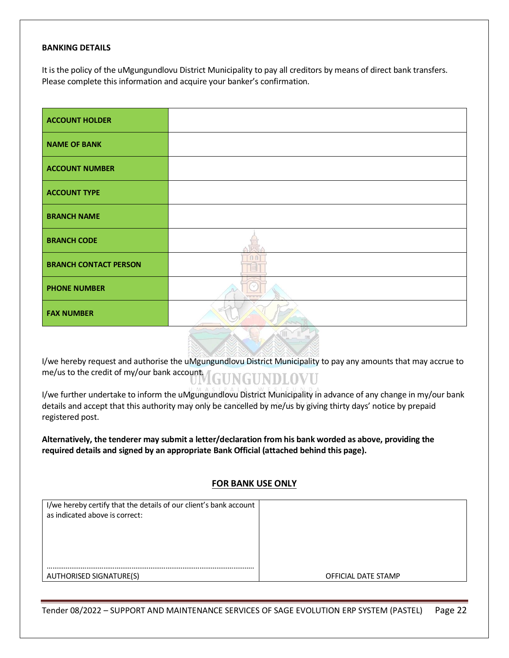#### <span id="page-21-0"></span>**BANKING DETAILS**

It is the policy of the uMgungundlovu District Municipality to pay all creditors by means of direct bank transfers. Please complete this information and acquire your banker's confirmation.

| <b>ACCOUNT HOLDER</b>        |             |
|------------------------------|-------------|
| <b>NAME OF BANK</b>          |             |
| <b>ACCOUNT NUMBER</b>        |             |
| <b>ACCOUNT TYPE</b>          |             |
| <b>BRANCH NAME</b>           |             |
| <b>BRANCH CODE</b>           |             |
| <b>BRANCH CONTACT PERSON</b> |             |
| <b>PHONE NUMBER</b>          | $X = B + I$ |
| <b>FAX NUMBER</b>            |             |

I/we hereby request and authorise the uMgungundlovu District Municipality to pay any amounts that may accrue to me/us to the credit of my/our bank account. GUNGUNDLOVU

I/we further undertake to inform the uMgungundlovu District Municipality in advance of any change in my/our bank details and accept that this authority may only be cancelled by me/us by giving thirty days' notice by prepaid registered post.

**Alternatively, the tenderer may submit a letter/declaration from his bank worded as above, providing the required details and signed by an appropriate Bank Official (attached behind this page).**

# **FOR BANK USE ONLY**

| I/we hereby certify that the details of our client's bank account<br>as indicated above is correct: |                     |
|-----------------------------------------------------------------------------------------------------|---------------------|
|                                                                                                     |                     |
|                                                                                                     |                     |
| <b>AUTHORISED SIGNATURE(S)</b>                                                                      | OFFICIAL DATE STAMP |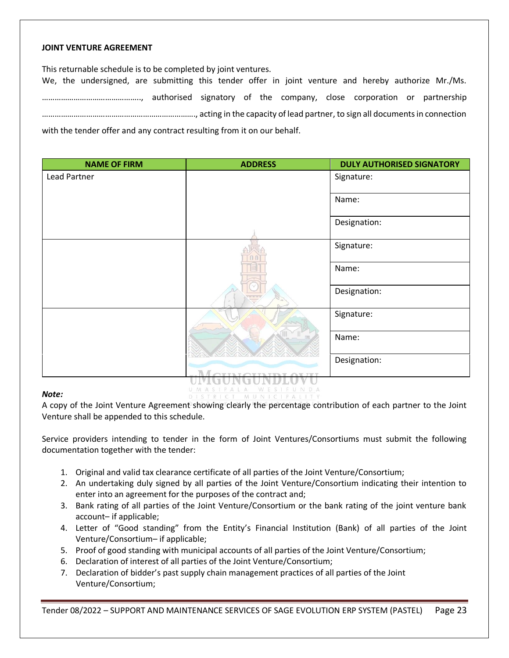### <span id="page-22-0"></span>**JOINT VENTURE AGREEMENT**

This returnable schedule is to be completed by joint ventures.

We, the undersigned, are submitting this tender offer in joint venture and hereby authorize Mr./Ms. ……………………………………….., authorised signatory of the company, close corporation or partnership ………………………………………………………………., acting in the capacity of lead partner, to sign all documents in connection with the tender offer and any contract resulting from it on our behalf.

| <b>NAME OF FIRM</b> | <b>ADDRESS</b>                                                                          | <b>DULY AUTHORISED SIGNATORY</b> |
|---------------------|-----------------------------------------------------------------------------------------|----------------------------------|
| Lead Partner        |                                                                                         | Signature:                       |
|                     |                                                                                         | Name:                            |
|                     |                                                                                         | Designation:                     |
|                     |                                                                                         | Signature:                       |
|                     |                                                                                         | Name:                            |
|                     |                                                                                         | Designation:                     |
|                     |                                                                                         | Signature:                       |
|                     |                                                                                         | Name:                            |
|                     |                                                                                         | Designation:                     |
|                     | <b>OTTAIOTTAINT</b><br>$\sqrt{N}$<br>$11 - A + B$ $A - C$ $B - C$<br>$\Gamma$ $\Lambda$ |                                  |

# *Note:*

DISTRICT MUNICIPALITY A copy of the Joint Venture Agreement showing clearly the percentage contribution of each partner to the Joint Venture shall be appended to this schedule.

Service providers intending to tender in the form of Joint Ventures/Consortiums must submit the following documentation together with the tender:

- 1. Original and valid tax clearance certificate of all parties of the Joint Venture/Consortium;
- 2. An undertaking duly signed by all parties of the Joint Venture/Consortium indicating their intention to enter into an agreement for the purposes of the contract and;
- 3. Bank rating of all parties of the Joint Venture/Consortium or the bank rating of the joint venture bank account– if applicable;
- 4. Letter of "Good standing" from the Entity's Financial Institution (Bank) of all parties of the Joint Venture/Consortium– if applicable;
- 5. Proof of good standing with municipal accounts of all parties of the Joint Venture/Consortium;
- 6. Declaration of interest of all parties of the Joint Venture/Consortium;
- 7. Declaration of bidder's past supply chain management practices of all parties of the Joint Venture/Consortium;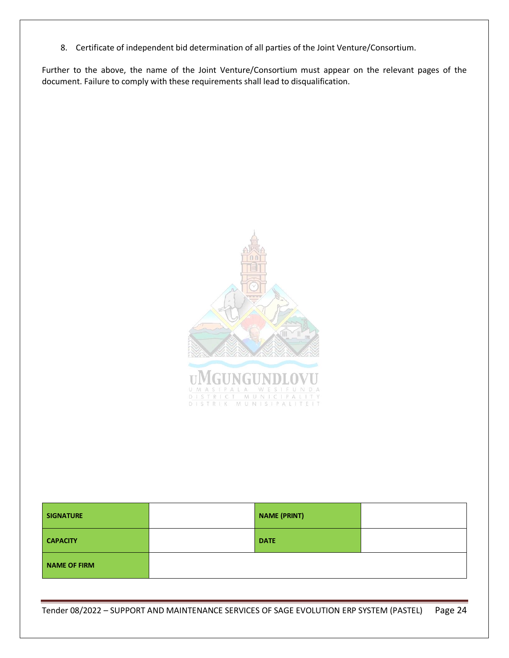8. Certificate of independent bid determination of all parties of the Joint Venture/Consortium.

Further to the above, the name of the Joint Venture/Consortium must appear on the relevant pages of the document. Failure to comply with these requirements shall lead to disqualification.



| <b>SIGNATURE</b>    | <b>NAME (PRINT)</b> |  |
|---------------------|---------------------|--|
| <b>CAPACITY</b>     | <b>DATE</b>         |  |
| <b>NAME OF FIRM</b> |                     |  |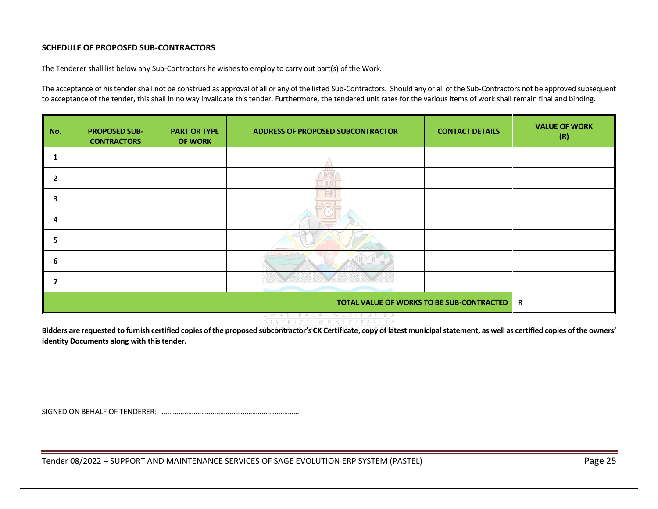# **SCHEDULE OF PROPOSED SUB-CONTRACTORS**

The Tenderer shall list below any Sub-Contractors he wishes to employ to carry out part(s) of the Work.

The acceptance of his tender shall not be construed as approval of all or any of the listed Sub-Contractors. Should any or all of the Sub-Contractors not be approved subsequent to acceptance of the tender, this shall in no way invalidate this tender. Furthermore, the tendered unit rates for the various items of work shall remain final and binding.

<span id="page-24-0"></span>

| No.            | <b>PROPOSED SUB-</b><br><b>CONTRACTORS</b>     | <b>PART OR TYPE</b><br><b>OF WORK</b> | <b>ADDRESS OF PROPOSED SUBCONTRACTOR</b> | <b>CONTACT DETAILS</b> | <b>VALUE OF WORK</b><br>(R) |
|----------------|------------------------------------------------|---------------------------------------|------------------------------------------|------------------------|-----------------------------|
|                |                                                |                                       |                                          |                        |                             |
| $\overline{2}$ |                                                |                                       |                                          |                        |                             |
| 3              |                                                |                                       |                                          |                        |                             |
| 4              |                                                |                                       | $\smile$                                 |                        |                             |
| 5              |                                                |                                       |                                          |                        |                             |
| 6              |                                                |                                       |                                          |                        |                             |
| ⇁              |                                                |                                       |                                          |                        |                             |
|                | TOTAL VALUE OF WORKS TO BE SUB-CONTRACTED<br>R |                                       |                                          |                        |                             |

#### DISTRICT MUNICIPALITY **Bidders are requested to furnish certified copies of the proposed subcontractor's CK Certificate, copy of latest municipal statement, as well as certified copies of the owners' Identity Documents along with this tender.**

SIGNED ON BEHALF OF TENDERER: ……………………………………………………………….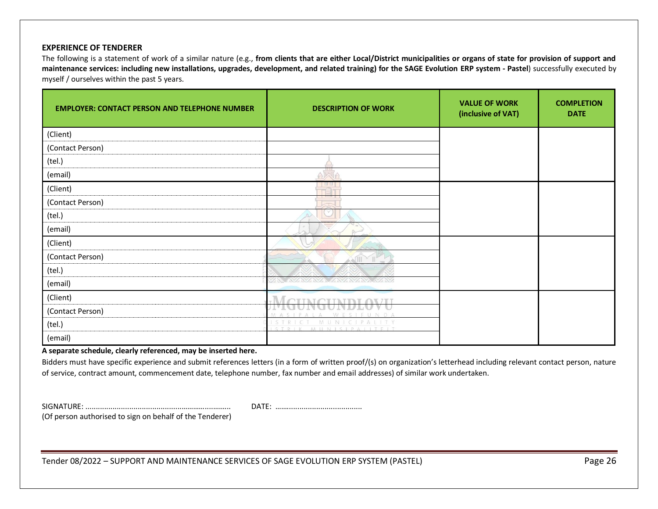#### **EXPERIENCE OF TENDERER**

The following is a statement of work of a similar nature (e.g., **from clients that are either Local/District municipalities or organs of state for provision of support and maintenance services: including new installations, upgrades, development, and related training) for the SAGE Evolution ERP system - Pastel**) successfully executed by myself / ourselves within the past 5 years.

<span id="page-25-0"></span>

| <b>EMPLOYER: CONTACT PERSON AND TELEPHONE NUMBER</b> | <b>DESCRIPTION OF WORK</b>                     | <b>VALUE OF WORK</b><br>(inclusive of VAT) | <b>COMPLETION</b><br><b>DATE</b> |
|------------------------------------------------------|------------------------------------------------|--------------------------------------------|----------------------------------|
| (Client)                                             |                                                |                                            |                                  |
| (Contact Person)                                     |                                                |                                            |                                  |
| (tel.)                                               |                                                |                                            |                                  |
| (email)                                              |                                                |                                            |                                  |
| (Client)                                             | <b>TULE</b>                                    |                                            |                                  |
| (Contact Person)                                     |                                                |                                            |                                  |
| (tel.)                                               |                                                |                                            |                                  |
| (email)                                              |                                                |                                            |                                  |
| (Client)                                             |                                                |                                            |                                  |
| (Contact Person)                                     |                                                |                                            |                                  |
| (tel.)                                               |                                                |                                            |                                  |
| (email)                                              |                                                |                                            |                                  |
| (Client)                                             |                                                |                                            |                                  |
| (Contact Person)                                     | SIEUNDA                                        |                                            |                                  |
| (tel.)                                               | MUNICIPALITY<br>MINISIPALITEIT<br><b>CTPEK</b> |                                            |                                  |
| (email)                                              |                                                |                                            |                                  |

**A separate schedule, clearly referenced, may be inserted here.**

Bidders must have specific experience and submit references letters (in a form of written proof/(s) on organization's letterhead including relevant contact person, nature of service, contract amount, commencement date, telephone number, fax number and email addresses) of similar work undertaken.

SIGNATURE: ..............................................…………....……... DATE: ……....................................

(Of person authorised to sign on behalf of the Tenderer)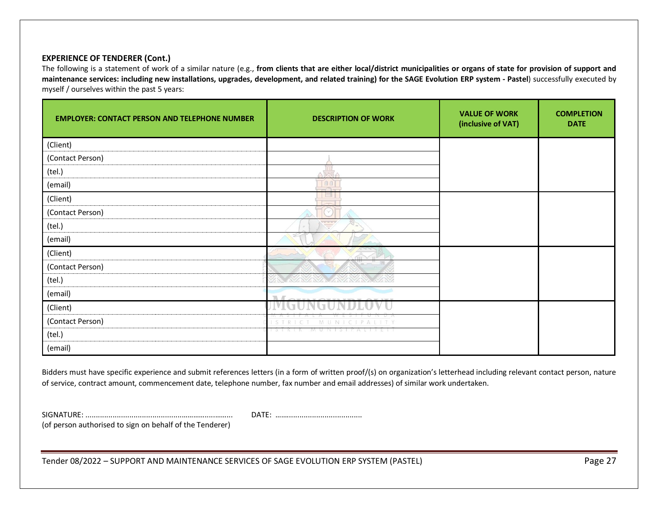# **EXPERIENCE OF TENDERER (Cont.)**

The following is a statement of work of a similar nature (e.g., **from clients that are either local/district municipalities or organs of state for provision of support and maintenance services: including new installations, upgrades, development, and related training) for the SAGE Evolution ERP system - Pastel**) successfully executed by myself / ourselves within the past 5 years:

| <b>EMPLOYER: CONTACT PERSON AND TELEPHONE NUMBER</b> | <b>DESCRIPTION OF WORK</b> | <b>VALUE OF WORK</b><br>(inclusive of VAT) | <b>COMPLETION</b><br><b>DATE</b> |
|------------------------------------------------------|----------------------------|--------------------------------------------|----------------------------------|
| (Client)                                             |                            |                                            |                                  |
| (Contact Person)                                     |                            |                                            |                                  |
| (tel.)                                               |                            |                                            |                                  |
| (email)                                              | $\Box$                     |                                            |                                  |
| (Client)                                             |                            |                                            |                                  |
| (Contact Person)                                     |                            |                                            |                                  |
| (tel.)                                               | <b>STATISTICS</b>          |                                            |                                  |
| (email)                                              |                            |                                            |                                  |
| (Client)                                             | THE <sub>1</sub>           |                                            |                                  |
| (Contact Person)                                     |                            |                                            |                                  |
| (tel.)                                               |                            |                                            |                                  |
| (email)                                              |                            |                                            |                                  |
| (Client)                                             |                            |                                            |                                  |
| (Contact Person)                                     |                            |                                            |                                  |
| (tel.)                                               |                            |                                            |                                  |
| (email)                                              |                            |                                            |                                  |

Bidders must have specific experience and submit references letters (in a form of written proof/(s) on organization's letterhead including relevant contact person, nature of service, contract amount, commencement date, telephone number, fax number and email addresses) of similar work undertaken.

SIGNATURE: ..............................................………….....……... DATE: …….................................... (of person authorised to sign on behalf of the Tenderer)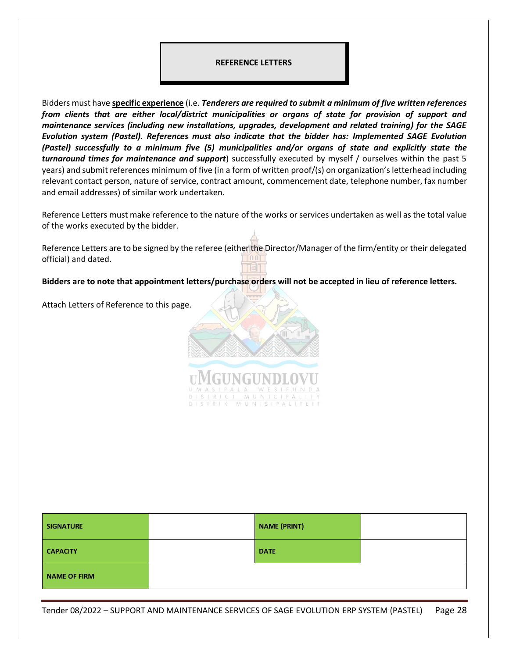#### <span id="page-27-0"></span>**REFERENCE LETTERS**

Bidders must have **specific experience** (i.e. *Tenderers are required to submit a minimum of five written references from clients that are either local/district municipalities or organs of state for provision of support and maintenance services (including new installations, upgrades, development and related training) for the SAGE Evolution system (Pastel). References must also indicate that the bidder has: Implemented SAGE Evolution (Pastel) successfully to a minimum five (5) municipalities and/or organs of state and explicitly state the turnaround times for maintenance and support*) successfully executed by myself / ourselves within the past 5 years) and submit references minimum of five (in a form of written proof/(s) on organization's letterhead including relevant contact person, nature of service, contract amount, commencement date, telephone number, fax number and email addresses) of similar work undertaken.

Reference Letters must make reference to the nature of the works or services undertaken as well as the total value of the works executed by the bidder.

Reference Letters are to be signed by the referee (either the Director/Manager of the firm/entity or their delegated official) and dated.

**Bidders are to note that appointment letters/purchase orders will not be accepted in lieu of reference letters.** 

Attach Letters of Reference to this page.



| <b>SIGNATURE</b>    | <b>NAME (PRINT)</b> |  |
|---------------------|---------------------|--|
| <b>CAPACITY</b>     | <b>DATE</b>         |  |
| <b>NAME OF FIRM</b> |                     |  |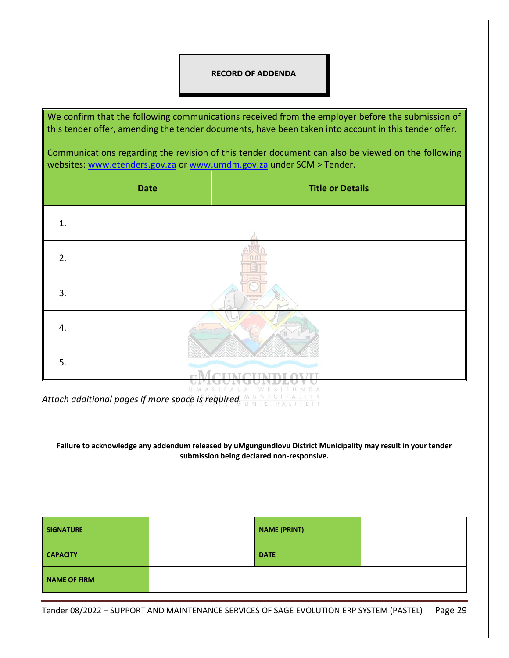### <span id="page-28-0"></span>**RECORD OF ADDENDA**

We confirm that the following communications received from the employer before the submission of this tender offer, amending the tender documents, have been taken into account in this tender offer.

Communications regarding the revision of this tender document can also be viewed on the following websites: [www.etenders.gov.za](http://www.etenders.gov.za/) or [www.umdm.gov.za](http://www.umdm.gov.za/) under SCM > Tender.

|    | <b>Date</b> | <b>Title or Details</b> |
|----|-------------|-------------------------|
| 1. |             |                         |
| 2. |             |                         |
| 3. |             |                         |
| 4. |             |                         |
| 5. |             |                         |

Attach additional pages if more space is required.

**Failure to acknowledge any addendum released by uMgungundlovu District Municipality may result in your tender submission being declared non-responsive.**

| <b>SIGNATURE</b>    | <b>NAME (PRINT)</b> |  |
|---------------------|---------------------|--|
| <b>CAPACITY</b>     | <b>DATE</b>         |  |
| <b>NAME OF FIRM</b> |                     |  |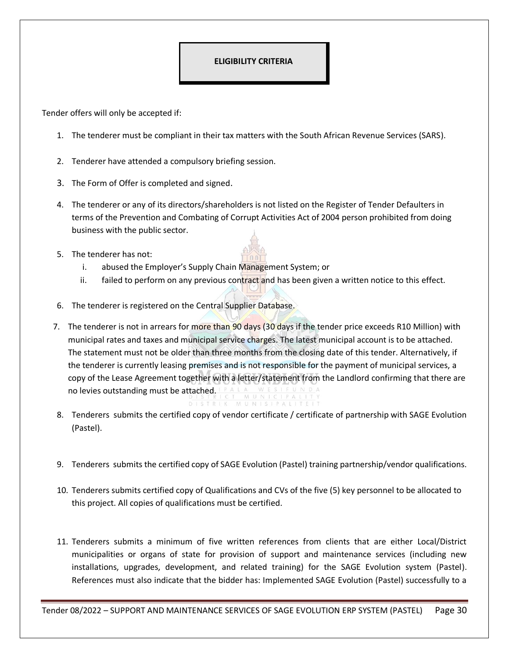# <span id="page-29-0"></span>**ELIGIBILITY CRITERIA**

Tender offers will only be accepted if:

- 1. The tenderer must be compliant in their tax matters with the South African Revenue Services (SARS).
- 2. Tenderer have attended a compulsory briefing session.
- 3. The Form of Offer is completed and signed.
- 4. The tenderer or any of its directors/shareholders is not listed on the Register of Tender Defaulters in terms of the Prevention and Combating of Corrupt Activities Act of 2004 person prohibited from doing business with the public sector.
- 5. The tenderer has not:
	- i. abused the Employer's Supply Chain Management System; or
	- ii. failed to perform on any previous contract and has been given a written notice to this effect.
- 6. The tenderer is registered on the Central Supplier Database.
- 7. The tenderer is not in arrears for more than 90 days (30 days if the tender price exceeds R10 Million) with municipal rates and taxes and municipal service charges. The latest municipal account is to be attached. The statement must not be older than three months from the closing date of this tender. Alternatively, if the tenderer is currently leasing premises and is not responsible for the payment of municipal services, a copy of the Lease Agreement together with a letter/statement from the Landlord confirming that there are no levies outstanding must be attached.
- 8. Tenderers submits the certified copy of vendor certificate / certificate of partnership with SAGE Evolution (Pastel).
- 9. Tenderers submits the certified copy of SAGE Evolution (Pastel) training partnership/vendor qualifications.
- 10. Tenderers submits certified copy of Qualifications and CVs of the five (5) key personnel to be allocated to this project. All copies of qualifications must be certified.
- 11. Tenderers submits a minimum of five written references from clients that are either Local/District municipalities or organs of state for provision of support and maintenance services (including new installations, upgrades, development, and related training) for the SAGE Evolution system (Pastel). References must also indicate that the bidder has: Implemented SAGE Evolution (Pastel) successfully to a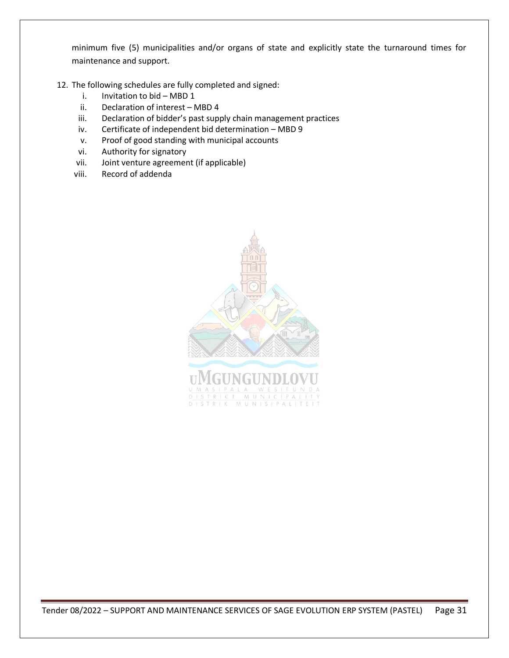minimum five (5) municipalities and/or organs of state and explicitly state the turnaround times for maintenance and support.

- 12. The following schedules are fully completed and signed:
	- i. Invitation to bid MBD 1
	- ii. Declaration of interest MBD 4
	- iii. Declaration of bidder's past supply chain management practices
	- iv. Certificate of independent bid determination MBD 9
	- v. Proof of good standing with municipal accounts
	- vi. Authority for signatory
	- vii. Joint venture agreement (if applicable)
	- viii. Record of addenda

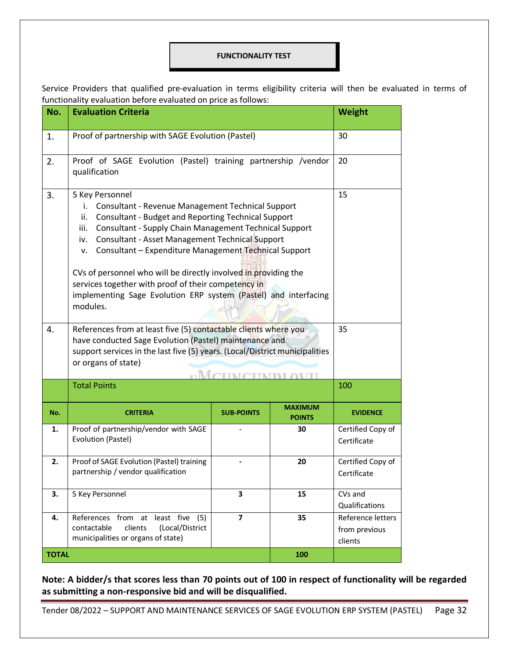#### <span id="page-31-0"></span>**FUNCTIONALITY TEST**

Service Providers that qualified pre-evaluation in terms eligibility criteria will then be evaluated in terms of functionality evaluation before evaluated on price as follows:

| No.          | <b>Evaluation Criteria</b>                                                                                                                                                                                                                                                                                                                                                                                                                                                                                                                                                                                                                                                                                                                                             |                   |                                 | <b>Weight</b>                                 |
|--------------|------------------------------------------------------------------------------------------------------------------------------------------------------------------------------------------------------------------------------------------------------------------------------------------------------------------------------------------------------------------------------------------------------------------------------------------------------------------------------------------------------------------------------------------------------------------------------------------------------------------------------------------------------------------------------------------------------------------------------------------------------------------------|-------------------|---------------------------------|-----------------------------------------------|
| 1.           | Proof of partnership with SAGE Evolution (Pastel)                                                                                                                                                                                                                                                                                                                                                                                                                                                                                                                                                                                                                                                                                                                      |                   |                                 | 30                                            |
| 2.           | Proof of SAGE Evolution (Pastel) training partnership /vendor<br>qualification                                                                                                                                                                                                                                                                                                                                                                                                                                                                                                                                                                                                                                                                                         |                   |                                 | 20                                            |
| 3.<br>4.     | 5 Key Personnel<br><b>Consultant - Revenue Management Technical Support</b><br>i.<br><b>Consultant - Budget and Reporting Technical Support</b><br>ii.<br>Consultant - Supply Chain Management Technical Support<br>iii.<br>Consultant - Asset Management Technical Support<br>iv.<br>Consultant - Expenditure Management Technical Support<br>V.<br>CVs of personnel who will be directly involved in providing the<br>services together with proof of their competency in<br>implementing Sage Evolution ERP system (Pastel) and interfacing<br>modules.<br>References from at least five (5) contactable clients where you<br>have conducted Sage Evolution (Pastel) maintenance and<br>support services in the last five (5) years. (Local/District municipalities |                   |                                 | 15<br>35                                      |
|              | or organs of state)                                                                                                                                                                                                                                                                                                                                                                                                                                                                                                                                                                                                                                                                                                                                                    |                   |                                 |                                               |
|              | <b>Total Points</b>                                                                                                                                                                                                                                                                                                                                                                                                                                                                                                                                                                                                                                                                                                                                                    |                   |                                 | 100                                           |
| No.          | <b>CRITERIA</b>                                                                                                                                                                                                                                                                                                                                                                                                                                                                                                                                                                                                                                                                                                                                                        | <b>SUB-POINTS</b> | <b>MAXIMUM</b><br><b>POINTS</b> | <b>EVIDENCE</b>                               |
| 1.           | Proof of partnership/vendor with SAGE<br>Evolution (Pastel)                                                                                                                                                                                                                                                                                                                                                                                                                                                                                                                                                                                                                                                                                                            |                   | 30                              | Certified Copy of<br>Certificate              |
| 2.           | Proof of SAGE Evolution (Pastel) training<br>partnership / vendor qualification                                                                                                                                                                                                                                                                                                                                                                                                                                                                                                                                                                                                                                                                                        |                   | 20                              | Certified Copy of<br>Certificate              |
| 3.           | 5 Key Personnel                                                                                                                                                                                                                                                                                                                                                                                                                                                                                                                                                                                                                                                                                                                                                        | 3                 | 15                              | CVs and<br>Qualifications                     |
| 4.           | References from at least five (5)<br>clients<br>(Local/District<br>contactable<br>municipalities or organs of state)                                                                                                                                                                                                                                                                                                                                                                                                                                                                                                                                                                                                                                                   | $\overline{ }$    | 35                              | Reference letters<br>from previous<br>clients |
| <b>TOTAL</b> |                                                                                                                                                                                                                                                                                                                                                                                                                                                                                                                                                                                                                                                                                                                                                                        |                   | 100                             |                                               |

**Note: A bidder/s that scores less than 70 points out of 100 in respect of functionality will be regarded as submitting a non-responsive bid and will be disqualified.**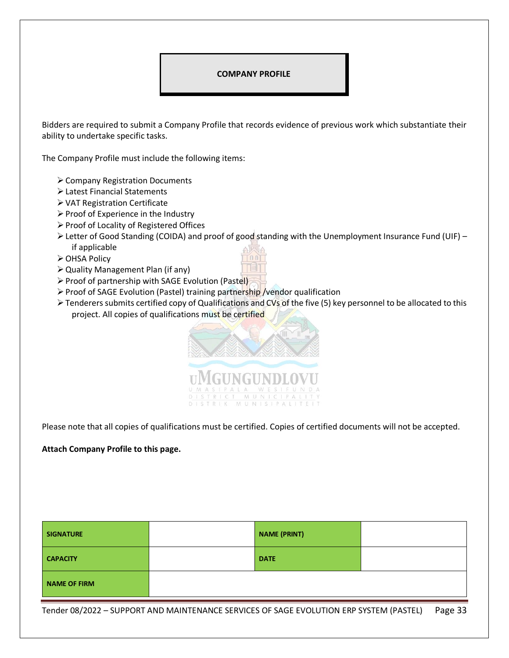#### <span id="page-32-0"></span>**COMPANY PROFILE**

Bidders are required to submit a Company Profile that records evidence of previous work which substantiate their ability to undertake specific tasks.

The Company Profile must include the following items:

- ➢Company Registration Documents
- ➢Latest Financial Statements
- ➢VAT Registration Certificate
- ➢Proof of Experience in the Industry
- ➢Proof of Locality of Registered Offices
- ➢Letter of Good Standing (COIDA) and proof of good standing with the Unemployment Insurance Fund (UIF) if applicable
- ➢OHSA Policy
- ➢Quality Management Plan (if any)
- ➢Proof of partnership with SAGE Evolution (Pastel)
- ➢Proof of SAGE Evolution (Pastel) training partnership /vendor qualification
- ➢Tenderers submits certified copy of Qualifications and CVs of the five (5) key personnel to be allocated to this project. All copies of qualifications must be certified



Please note that all copies of qualifications must be certified. Copies of certified documents will not be accepted.

#### **Attach Company Profile to this page.**

| <b>SIGNATURE</b>    | <b>NAME (PRINT)</b> |  |
|---------------------|---------------------|--|
| <b>CAPACITY</b>     | <b>DATE</b>         |  |
| <b>NAME OF FIRM</b> |                     |  |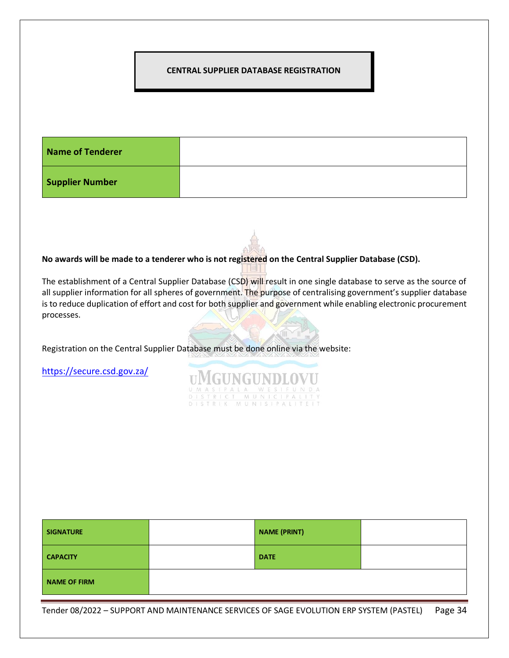#### <span id="page-33-0"></span>**CENTRAL SUPPLIER DATABASE REGISTRATION**

| Name of Tenderer       |  |
|------------------------|--|
| <b>Supplier Number</b> |  |

**No awards will be made to a tenderer who is not registered on the Central Supplier Database (CSD).**

The establishment of a Central Supplier Database (CSD) will result in one single database to serve as the source of all supplier information for all spheres of government. The purpose of centralising government's supplier database is to reduce duplication of effort and cost for both supplier and government while enabling electronic procurement processes.

UMGUNGUNDLOVU

MUNICIP <u>CT MUNICIPALI</u><br>K MUNISIPALITE

Registration on the Central Supplier Database must be done online via the website:

<https://secure.csd.gov.za/>

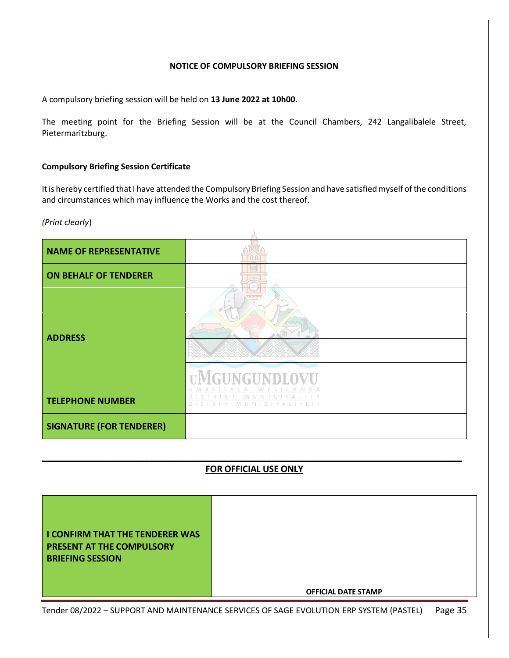### **NOTICE OF COMPULSORY BRIEFING SESSION**

<span id="page-34-0"></span>A compulsory briefing session will be held on **13 June 2022 at 10h00.**

The meeting point for the Briefing Session will be at the Council Chambers, 242 Langalibalele Street, Pietermaritzburg.

#### **Compulsory Briefing Session Certificate**

It is hereby certified that I have attended the Compulsory Briefing Session and have satisfied myself of the conditions and circumstances which may influence the Works and the cost thereof.

*(Print clearly*)

| <b>NAME OF REPRESENTATIVE</b>   |                                                             |
|---------------------------------|-------------------------------------------------------------|
| <b>ON BEHALF OF TENDERER</b>    |                                                             |
| <b>ADDRESS</b>                  |                                                             |
|                                 | <b>TIMGUNGUNDLOVU</b>                                       |
| <b>TELEPHONE NUMBER</b>         | MUNIC<br>P<br>A I I<br>D.<br><b>MUNISIPALITEIT</b><br>$D -$ |
| <b>SIGNATURE (FOR TENDERER)</b> |                                                             |

# **\_\_\_\_\_\_\_\_\_\_\_\_\_\_\_\_\_\_\_\_\_\_\_\_\_\_\_\_\_\_\_\_\_\_\_\_\_\_\_\_\_\_\_\_\_\_\_\_\_\_\_\_\_\_\_\_\_\_\_\_\_\_\_\_\_\_\_\_\_\_\_\_\_\_\_\_\_\_\_\_\_\_\_\_\_\_ FOR OFFICIAL USE ONLY**

| <b>I CONFIRM THAT THE TENDERER WAS</b><br><b>PRESENT AT THE COMPULSORY</b><br><b>BRIEFING SESSION</b> | <b>OFFICIAL DATE STAMP</b> |  |  |
|-------------------------------------------------------------------------------------------------------|----------------------------|--|--|
| Tender 08/2022 - SUPPORT AND MAINTENANCE SERVICES OF SAGE EVOLUTION ERP SYSTEM (PASTEL)<br>Page 35    |                            |  |  |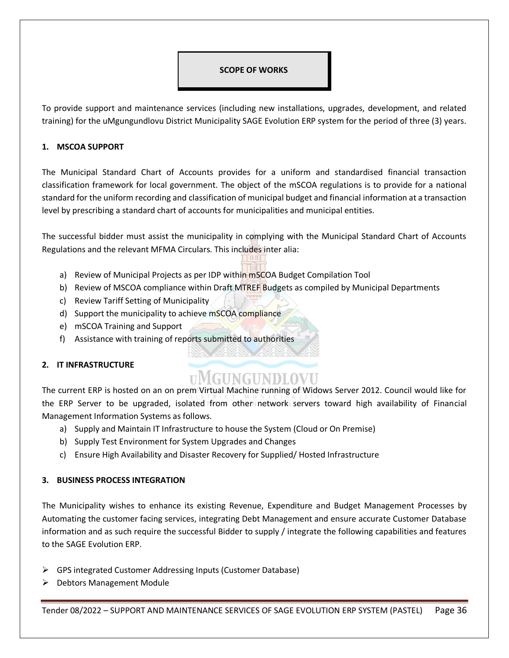# <span id="page-35-0"></span>**SCOPE OF WORKS**

To provide support and maintenance services (including new installations, upgrades, development, and related training) for the uMgungundlovu District Municipality SAGE Evolution ERP system for the period of three (3) years.

# **1. MSCOA SUPPORT**

The Municipal Standard Chart of Accounts provides for a uniform and standardised financial transaction classification framework for local government. The object of the mSCOA regulations is to provide for a national standard for the uniform recording and classification of municipal budget and financial information at a transaction level by prescribing a standard chart of accounts for municipalities and municipal entities.

The successful bidder must assist the municipality in complying with the Municipal Standard Chart of Accounts Regulations and the relevant MFMA Circulars. This includes inter alia:

- a) Review of Municipal Projects as per IDP within mSCOA Budget Compilation Tool
- b) Review of MSCOA compliance within Draft MTREF Budgets as compiled by Municipal Departments
- c) Review Tariff Setting of Municipality
- d) Support the municipality to achieve mSCOA compliance
- e) mSCOA Training and Support
- f) Assistance with training of reports submitted to authorities

# **2. IT INFRASTRUCTURE**

# **UMGUNGUNDLOVU**

The current ERP is hosted on an on prem Virtual Machine running of Widows Server 2012. Council would like for the ERP Server to be upgraded, isolated from other network servers toward high availability of Financial Management Information Systems as follows.

- a) Supply and Maintain IT Infrastructure to house the System (Cloud or On Premise)
- b) Supply Test Environment for System Upgrades and Changes
- c) Ensure High Availability and Disaster Recovery for Supplied/ Hosted Infrastructure

# **3. BUSINESS PROCESS INTEGRATION**

The Municipality wishes to enhance its existing Revenue, Expenditure and Budget Management Processes by Automating the customer facing services, integrating Debt Management and ensure accurate Customer Database information and as such require the successful Bidder to supply / integrate the following capabilities and features to the SAGE Evolution ERP.

- ➢ GPS integrated Customer Addressing Inputs (Customer Database)
- ➢ Debtors Management Module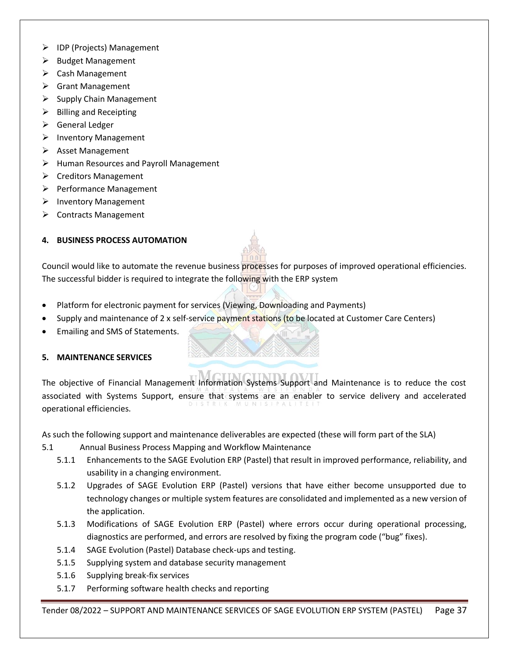- ➢ IDP (Projects) Management
- ➢ Budget Management
- ➢ Cash Management
- ➢ Grant Management
- $\triangleright$  Supply Chain Management
- $\triangleright$  Billing and Receipting
- ➢ General Ledger
- ➢ Inventory Management
- ➢ Asset Management
- ➢ Human Resources and Payroll Management
- ➢ Creditors Management
- ➢ Performance Management
- ➢ Inventory Management
- ➢ Contracts Management

# **4. BUSINESS PROCESS AUTOMATION**

Council would like to automate the revenue business processes for purposes of improved operational efficiencies. The successful bidder is required to integrate the following with the ERP system

- Platform for electronic payment for services (Viewing, Downloading and Payments)
- Supply and maintenance of 2 x self-service payment stations (to be located at Customer Care Centers)
- Emailing and SMS of Statements.

#### **5. MAINTENANCE SERVICES**

The objective of Financial Management Information Systems Support and Maintenance is to reduce the cost associated with Systems Support, ensure that systems are an enabler to service delivery and accelerated DISTRIK operational efficiencies.

As such the following support and maintenance deliverables are expected (these will form part of the SLA)

- 5.1 Annual Business Process Mapping and Workflow Maintenance
	- 5.1.1 Enhancements to the SAGE Evolution ERP (Pastel) that result in improved performance, reliability, and usability in a changing environment.
	- 5.1.2 Upgrades of SAGE Evolution ERP (Pastel) versions that have either become unsupported due to technology changes or multiple system features are consolidated and implemented as a new version of the application.
	- 5.1.3 Modifications of SAGE Evolution ERP (Pastel) where errors occur during operational processing, diagnostics are performed, and errors are resolved by fixing the program code ("bug" fixes).
	- 5.1.4 SAGE Evolution (Pastel) Database check-ups and testing.
	- 5.1.5 Supplying system and database security management
	- 5.1.6 Supplying break-fix services
	- 5.1.7 Performing software health checks and reporting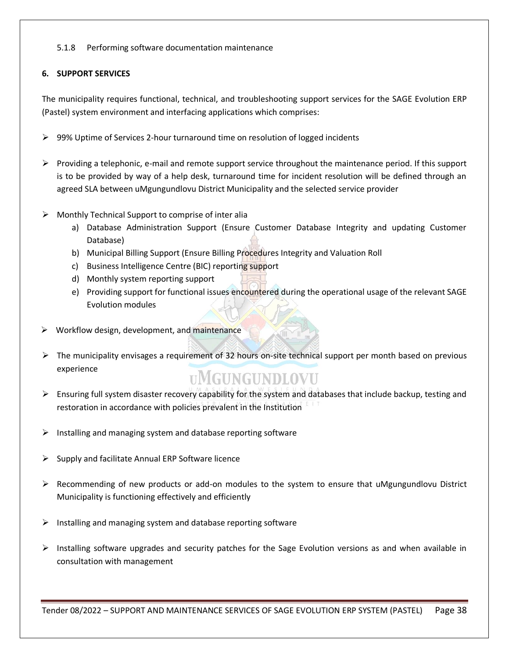# 5.1.8 Performing software documentation maintenance

# **6. SUPPORT SERVICES**

The municipality requires functional, technical, and troubleshooting support services for the SAGE Evolution ERP (Pastel) system environment and interfacing applications which comprises:

- ➢ 99% Uptime of Services 2-hour turnaround time on resolution of logged incidents
- ➢ Providing a telephonic, e-mail and remote support service throughout the maintenance period. If this support is to be provided by way of a help desk, turnaround time for incident resolution will be defined through an agreed SLA between uMgungundlovu District Municipality and the selected service provider
- ➢ Monthly Technical Support to comprise of inter alia
	- a) Database Administration Support (Ensure Customer Database Integrity and updating Customer Database)
	- b) Municipal Billing Support (Ensure Billing Procedures Integrity and Valuation Roll
	- c) Business Intelligence Centre (BIC) reporting support
	- d) Monthly system reporting support
	- e) Providing support for functional issues encountered during the operational usage of the relevant SAGE Evolution modules
- ➢ Workflow design, development, and maintenance
- ➢ The municipality envisages a requirement of 32 hours on-site technical support per month based on previous experience

# **UMGUNGUNDLOVU**

- $\triangleright$  Ensuring full system disaster recovery capability for the system and databases that include backup, testing and restoration in accordance with policies prevalent in the Institution
- $\triangleright$  Installing and managing system and database reporting software
- ➢ Supply and facilitate Annual ERP Software licence
- $\triangleright$  Recommending of new products or add-on modules to the system to ensure that uMgungundlovu District Municipality is functioning effectively and efficiently
- $\triangleright$  Installing and managing system and database reporting software
- ➢ Installing software upgrades and security patches for the Sage Evolution versions as and when available in consultation with management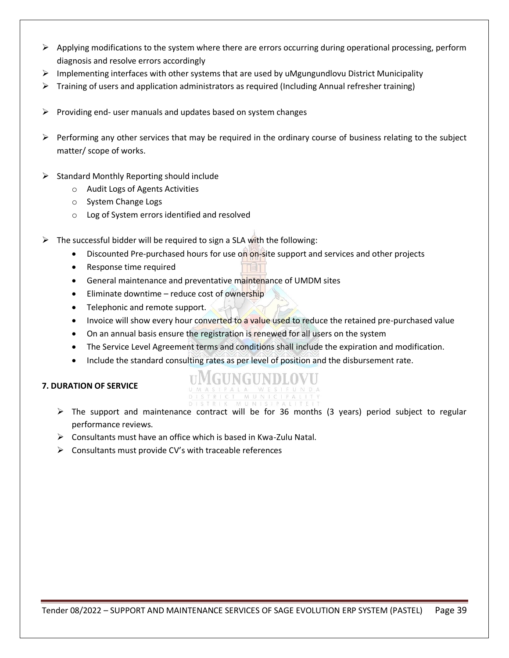- $\triangleright$  Applying modifications to the system where there are errors occurring during operational processing, perform diagnosis and resolve errors accordingly
- $\triangleright$  Implementing interfaces with other systems that are used by uMgungundlovu District Municipality
- $\triangleright$  Training of users and application administrators as required (Including Annual refresher training)
- $\triangleright$  Providing end- user manuals and updates based on system changes
- $\triangleright$  Performing any other services that may be required in the ordinary course of business relating to the subject matter/ scope of works.
- ➢ Standard Monthly Reporting should include
	- o Audit Logs of Agents Activities
	- o System Change Logs
	- o Log of System errors identified and resolved
- The successful bidder will be required to sign a SLA with the following:
	- Discounted Pre-purchased hours for use on on-site support and services and other projects
	- Response time required
	- General maintenance and preventative maintenance of UMDM sites
	- Eliminate downtime reduce cost of ownership
	- Telephonic and remote support.
	- Invoice will show every hour converted to a value used to reduce the retained pre-purchased value
	- On an annual basis ensure the registration is renewed for all users on the system
	- The Service Level Agreement terms and conditions shall include the expiration and modification.
	- Include the standard consulting rates as per level of position and the disbursement rate.

# **7. DURATION OF SERVICE**

# UMGUNGUNDLOVU

- ➢ The support and maintenance contract will be for 36 months (3 years) period subject to regular performance reviews.
- ➢ Consultants must have an office which is based in Kwa-Zulu Natal.
- $\triangleright$  Consultants must provide CV's with traceable references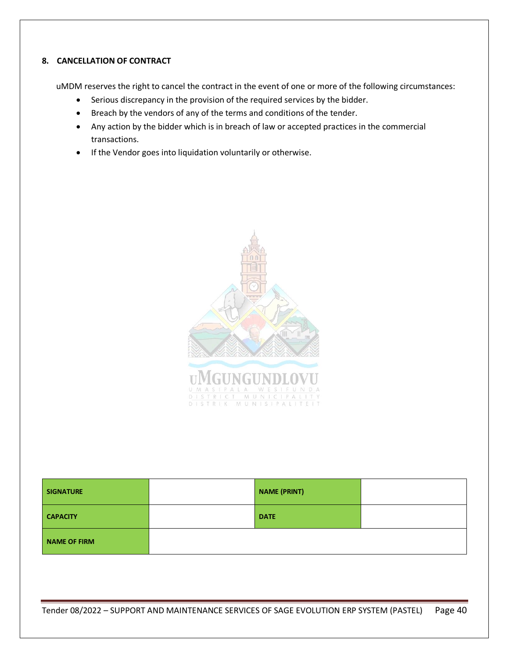# **8. CANCELLATION OF CONTRACT**

uMDM reserves the right to cancel the contract in the event of one or more of the following circumstances:

- Serious discrepancy in the provision of the required services by the bidder.
- Breach by the vendors of any of the terms and conditions of the tender.
- Any action by the bidder which is in breach of law or accepted practices in the commercial transactions.
- If the Vendor goes into liquidation voluntarily or otherwise.



| <b>SIGNATURE</b> | <b>NAME (PRINT)</b> |  |
|------------------|---------------------|--|
| <b>CAPACITY</b>  | <b>DATE</b>         |  |
| NAME OF FIRM     |                     |  |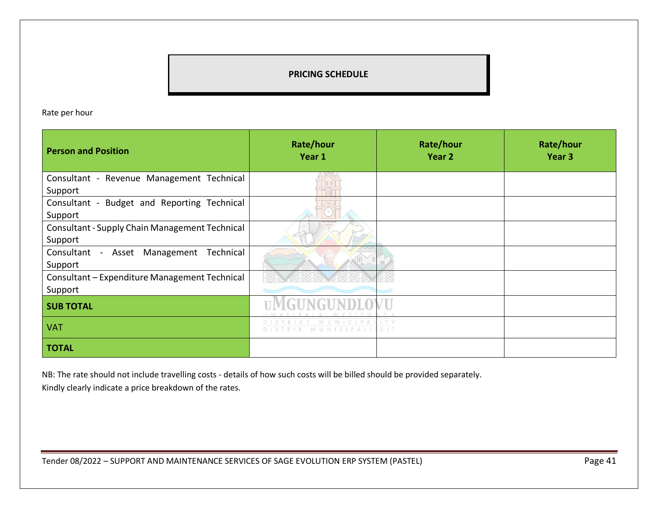# **PRICING SCHEDULE**

Rate per hour

| <b>Person and Position</b>                                | Rate/hour<br>Year 1 | Rate/hour<br>Year <sub>2</sub> | Rate/hour<br>Year <sub>3</sub> |
|-----------------------------------------------------------|---------------------|--------------------------------|--------------------------------|
| Consultant - Revenue Management Technical<br>Support      |                     |                                |                                |
| Consultant - Budget and Reporting Technical<br>Support    |                     |                                |                                |
| Consultant - Supply Chain Management Technical<br>Support |                     |                                |                                |
| Consultant - Asset<br>Management<br>Technical<br>Support  |                     |                                |                                |
| Consultant - Expenditure Management Technical<br>Support  |                     |                                |                                |
| <b>SUB TOTAL</b>                                          |                     |                                |                                |
| <b>VAT</b>                                                | UNISIPALI           | 王王王                            |                                |
| <b>TOTAL</b>                                              |                     |                                |                                |

NB: The rate should not include travelling costs - details of how such costs will be billed should be provided separately.

Kindly clearly indicate a price breakdown of the rates.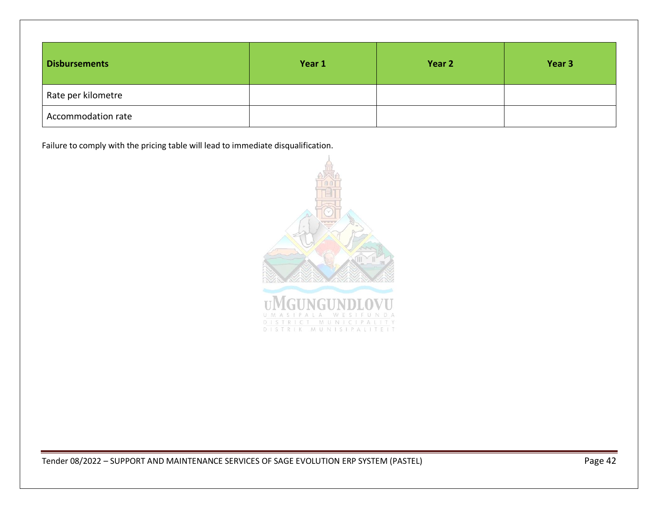| <b>Disbursements</b> | Year 1 | Year 2 | Year 3 |
|----------------------|--------|--------|--------|
| Rate per kilometre   |        |        |        |
| Accommodation rate   |        |        |        |

Failure to comply with the pricing table will lead to immediate disqualification.

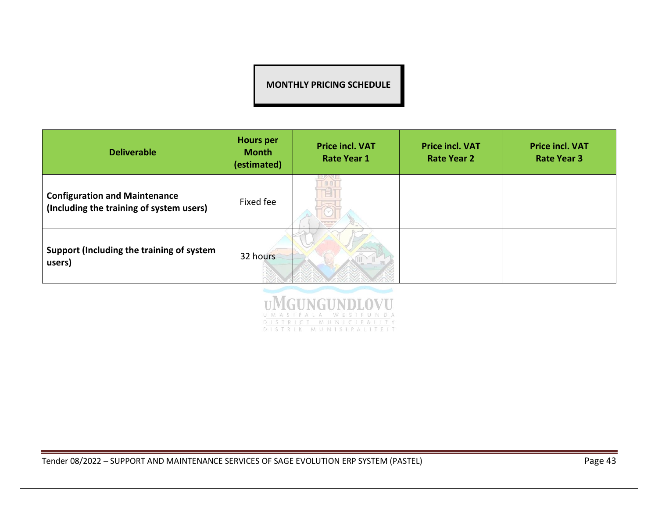# **MONTHLY PRICING SCHEDULE**

| <b>Deliverable</b>                                                               | <b>Hours per</b><br><b>Month</b><br>(estimated) | <b>Price incl. VAT</b><br><b>Rate Year 1</b> | <b>Price incl. VAT</b><br><b>Rate Year 2</b> | <b>Price incl. VAT</b><br><b>Rate Year 3</b> |
|----------------------------------------------------------------------------------|-------------------------------------------------|----------------------------------------------|----------------------------------------------|----------------------------------------------|
| <b>Configuration and Maintenance</b><br>(Including the training of system users) | Fixed fee                                       | $\overline{\phantom{a}}$                     |                                              |                                              |
| Support (Including the training of system<br>users)                              | 32 hours                                        |                                              |                                              |                                              |

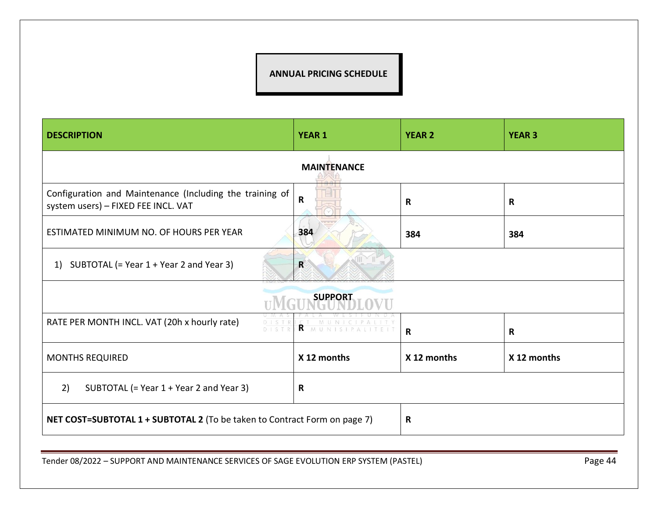# **ANNUAL PRICING SCHEDULE**

| <b>DESCRIPTION</b>                                                                              | <b>YEAR 1</b>           | <b>YEAR 2</b> | <b>YEAR 3</b> |
|-------------------------------------------------------------------------------------------------|-------------------------|---------------|---------------|
|                                                                                                 | <b>MAINTENANCE</b>      |               |               |
| Configuration and Maintenance (Including the training of<br>system users) - FIXED FEE INCL. VAT | $\overline{\mathsf{R}}$ | $\mathbf R$   | $\mathbf R$   |
| ESTIMATED MINIMUM NO. OF HOURS PER YEAR                                                         | 384                     | 384           | 384           |
| SUBTOTAL (= Year 1 + Year 2 and Year 3)<br>1)                                                   | $\mathbf R$             |               |               |
|                                                                                                 | <b>SUPPORT</b>          |               |               |
| RATE PER MONTH INCL. VAT (20h x hourly rate)<br>DISTR                                           | R MUNISIPALI            | $\mathbf R$   | $\mathbf R$   |
| <b>MONTHS REQUIRED</b>                                                                          | X 12 months             | X 12 months   | X 12 months   |
| 2)<br>SUBTOTAL (= Year 1 + Year 2 and Year 3)                                                   |                         |               |               |
| NET COST=SUBTOTAL 1 + SUBTOTAL 2 (To be taken to Contract Form on page 7)                       |                         | R             |               |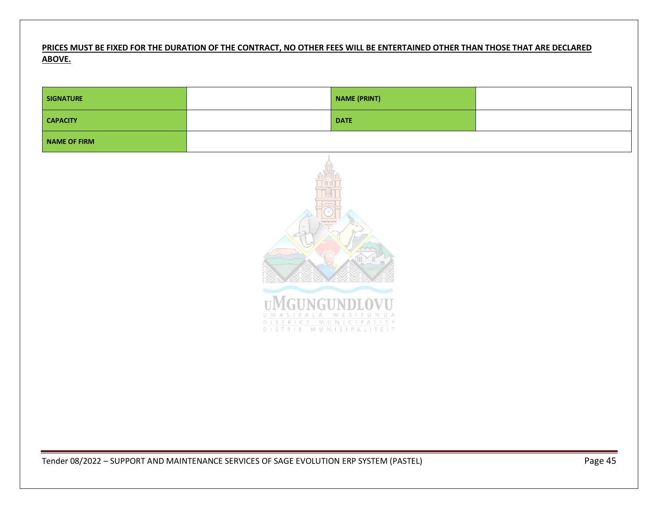# **PRICES MUST BE FIXED FOR THE DURATION OF THE CONTRACT, NO OTHER FEES WILL BE ENTERTAINED OTHER THAN THOSE THAT ARE DECLARED ABOVE.**

| <b>SIGNATURE</b>    |                                                                        | <b>NAME (PRINT)</b> |  |
|---------------------|------------------------------------------------------------------------|---------------------|--|
| <b>CAPACITY</b>     |                                                                        | <b>DATE</b>         |  |
| <b>NAME OF FIRM</b> |                                                                        |                     |  |
|                     | UMASIPALA WESIFUNDA<br>DISTRICT MUNICIPALITY<br>DISTRIK MUNISIPALITEIT |                     |  |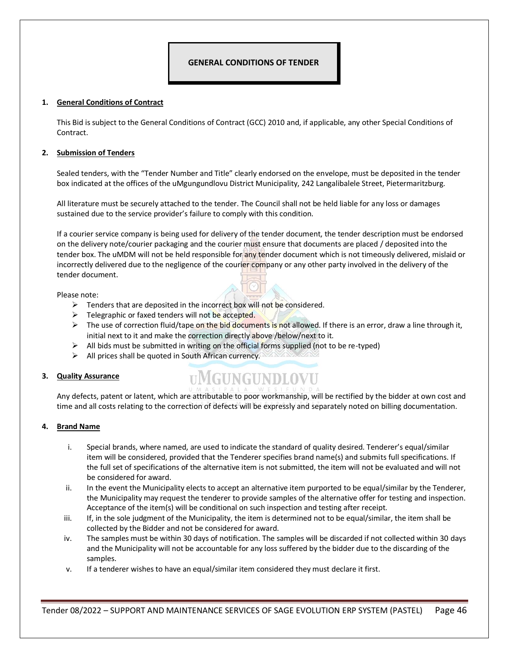# <span id="page-45-0"></span>**GENERAL CONDITIONS OF TENDER**

#### **1. General Conditions of Contract**

This Bid is subject to the General Conditions of Contract (GCC) 2010 and, if applicable, any other Special Conditions of Contract.

#### **2. Submission of Tenders**

Sealed tenders, with the "Tender Number and Title" clearly endorsed on the envelope, must be deposited in the tender box indicated at the offices of the uMgungundlovu District Municipality, 242 Langalibalele Street, Pietermaritzburg.

All literature must be securely attached to the tender. The Council shall not be held liable for any loss or damages sustained due to the service provider's failure to comply with this condition.

If a courier service company is being used for delivery of the tender document, the tender description must be endorsed on the delivery note/courier packaging and the courier must ensure that documents are placed / deposited into the tender box. The uMDM will not be held responsible for any tender document which is not timeously delivered, mislaid or incorrectly delivered due to the negligence of the courier company or any other party involved in the delivery of the tender document.

#### Please note:

- $\triangleright$  Tenders that are deposited in the incorrect box will not be considered.
- ➢ Telegraphic or faxed tenders will not be accepted.
- $\triangleright$  The use of correction fluid/tape on the bid documents is not allowed. If there is an error, draw a line through it, initial next to it and make the correction directly above /below/next to it.
- $\triangleright$  All bids must be submitted in writing on the official forms supplied (not to be re-typed)
- ➢ All prices shall be quoted in South African currency.

#### **3. Quality Assurance**

# **UMGUNGUNDLOVU**

Any defects, patent or latent, which are attributable to poor workmanship, will be rectified by the bidder at own cost and time and all costs relating to the correction of defects will be expressly and separately noted on billing documentation.

#### **4. Brand Name**

- i. Special brands, where named, are used to indicate the standard of quality desired. Tenderer's equal/similar item will be considered, provided that the Tenderer specifies brand name(s) and submits full specifications. If the full set of specifications of the alternative item is not submitted, the item will not be evaluated and will not be considered for award.
- ii. In the event the Municipality elects to accept an alternative item purported to be equal/similar by the Tenderer, the Municipality may request the tenderer to provide samples of the alternative offer for testing and inspection. Acceptance of the item(s) will be conditional on such inspection and testing after receipt.
- iii. If, in the sole judgment of the Municipality, the item is determined not to be equal/similar, the item shall be collected by the Bidder and not be considered for award.
- iv. The samples must be within 30 days of notification. The samples will be discarded if not collected within 30 days and the Municipality will not be accountable for any loss suffered by the bidder due to the discarding of the samples.
- v. If a tenderer wishes to have an equal/similar item considered they must declare it first.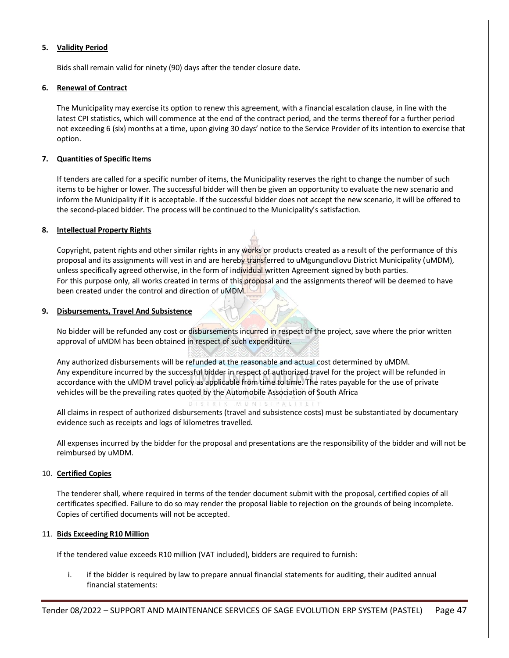#### **5. Validity Period**

Bids shall remain valid for ninety (90) days after the tender closure date.

#### **6. Renewal of Contract**

The Municipality may exercise its option to renew this agreement, with a financial escalation clause, in line with the latest CPI statistics, which will commence at the end of the contract period, and the terms thereof for a further period not exceeding 6 (six) months at a time, upon giving 30 days' notice to the Service Provider of its intention to exercise that option.

#### **7. Quantities of Specific Items**

If tenders are called for a specific number of items, the Municipality reserves the right to change the number of such items to be higher or lower. The successful bidder will then be given an opportunity to evaluate the new scenario and inform the Municipality if it is acceptable. If the successful bidder does not accept the new scenario, it will be offered to the second-placed bidder. The process will be continued to the Municipality's satisfaction.

#### **8. Intellectual Property Rights**

Copyright, patent rights and other similar rights in any works or products created as a result of the performance of this proposal and its assignments will vest in and are hereby transferred to uMgungundlovu District Municipality (uMDM), unless specifically agreed otherwise, in the form of individual written Agreement signed by both parties. For this purpose only, all works created in terms of this proposal and the assignments thereof will be deemed to have been created under the control and direction of uMDM.

#### **9. Disbursements, Travel And Subsistence**

No bidder will be refunded any cost or disbursements incurred in respect of the project, save where the prior written approval of uMDM has been obtained in respect of such expenditure.

Any authorized disbursements will be refunded at the reasonable and actual cost determined by uMDM. Any expenditure incurred by the successful bidder in respect of authorized travel for the project will be refunded in accordance with the uMDM travel policy as applicable from time to time. The rates payable for the use of private vehicles will be the prevailing rates quoted by the Automobile Association of South Africa

All claims in respect of authorized disbursements (travel and subsistence costs) must be substantiated by documentary evidence such as receipts and logs of kilometres travelled.

All expenses incurred by the bidder for the proposal and presentations are the responsibility of the bidder and will not be reimbursed by uMDM.

#### 10. **Certified Copies**

The tenderer shall, where required in terms of the tender document submit with the proposal, certified copies of all certificates specified. Failure to do so may render the proposal liable to rejection on the grounds of being incomplete. Copies of certified documents will not be accepted.

#### 11. **Bids Exceeding R10 Million**

If the tendered value exceeds R10 million (VAT included), bidders are required to furnish:

i. if the bidder is required by law to prepare annual financial statements for auditing, their audited annual financial statements: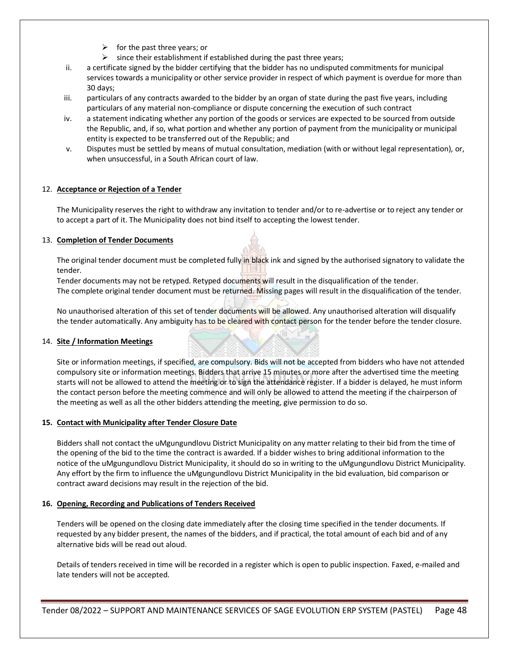- $\triangleright$  for the past three years; or
- $\triangleright$  since their establishment if established during the past three years;
- ii. a certificate signed by the bidder certifying that the bidder has no undisputed commitments for municipal services towards a municipality or other service provider in respect of which payment is overdue for more than 30 days;
- iii. particulars of any contracts awarded to the bidder by an organ of state during the past five years, including particulars of any material non-compliance or dispute concerning the execution of such contract
- iv. a statement indicating whether any portion of the goods or services are expected to be sourced from outside the Republic, and, if so, what portion and whether any portion of payment from the municipality or municipal entity is expected to be transferred out of the Republic; and
- v. Disputes must be settled by means of mutual consultation, mediation (with or without legal representation), or, when unsuccessful, in a South African court of law.

#### 12. **Acceptance or Rejection of a Tender**

The Municipality reserves the right to withdraw any invitation to tender and/or to re-advertise or to reject any tender or to accept a part of it. The Municipality does not bind itself to accepting the lowest tender.

#### 13. **Completion of Tender Documents**

The original tender document must be completed fully in black ink and signed by the authorised signatory to validate the tender.

Tender documents may not be retyped. Retyped documents will result in the disqualification of the tender. The complete original tender document must be returned. Missing pages will result in the disqualification of the tender.

No unauthorised alteration of this set of tender documents will be allowed. Any unauthorised alteration will disqualify the tender automatically. Any ambiguity has to be cleared with contact person for the tender before the tender closure.

#### 14. **Site / Information Meetings**

Site or information meetings, if specified, are compulsory. Bids will not be accepted from bidders who have not attended compulsory site or information meetings. Bidders that arrive 15 minutes or more after the advertised time the meeting starts will not be allowed to attend the meeting or to sign the attendance register. If a bidder is delayed, he must inform the contact person before the meeting commence and will only be allowed to attend the meeting if the chairperson of the meeting as well as all the other bidders attending the meeting, give permission to do so.

#### **15. Contact with Municipality after Tender Closure Date**

Bidders shall not contact the uMgungundlovu District Municipality on any matter relating to their bid from the time of the opening of the bid to the time the contract is awarded. If a bidder wishes to bring additional information to the notice of the uMgungundlovu District Municipality, it should do so in writing to the uMgungundlovu District Municipality. Any effort by the firm to influence the uMgungundlovu District Municipality in the bid evaluation, bid comparison or contract award decisions may result in the rejection of the bid.

#### **16. Opening, Recording and Publications of Tenders Received**

Tenders will be opened on the closing date immediately after the closing time specified in the tender documents. If requested by any bidder present, the names of the bidders, and if practical, the total amount of each bid and of any alternative bids will be read out aloud.

Details of tenders received in time will be recorded in a register which is open to public inspection. Faxed, e-mailed and late tenders will not be accepted.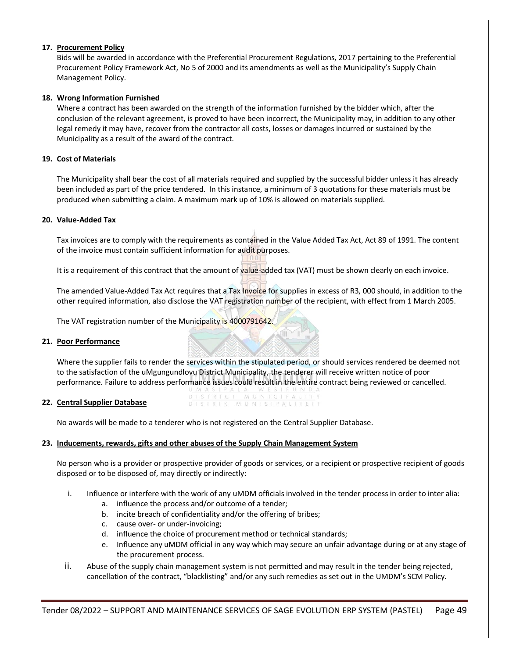#### **17. Procurement Policy**

Bids will be awarded in accordance with the Preferential Procurement Regulations, 2017 pertaining to the Preferential Procurement Policy Framework Act, No 5 of 2000 and its amendments as well as the Municipality's Supply Chain Management Policy.

#### **18. Wrong Information Furnished**

Where a contract has been awarded on the strength of the information furnished by the bidder which, after the conclusion of the relevant agreement, is proved to have been incorrect, the Municipality may, in addition to any other legal remedy it may have, recover from the contractor all costs, losses or damages incurred or sustained by the Municipality as a result of the award of the contract.

#### **19. Cost of Materials**

The Municipality shall bear the cost of all materials required and supplied by the successful bidder unless it has already been included as part of the price tendered. In this instance, a minimum of 3 quotations for these materials must be produced when submitting a claim. A maximum mark up of 10% is allowed on materials supplied.

#### **20. Value-Added Tax**

Tax invoices are to comply with the requirements as contained in the Value Added Tax Act, Act 89 of 1991. The content of the invoice must contain sufficient information for audit purposes.

It is a requirement of this contract that the amount of value-added tax (VAT) must be shown clearly on each invoice.

The amended Value-Added Tax Act requires that a Tax Invoice for supplies in excess of R3, 000 should, in addition to the other required information, also disclose the VAT registration number of the recipient, with effect from 1 March 2005.

The VAT registration number of the Municipality is 4000791642.

#### **21. Poor Performance**

Where the supplier fails to render the services within the stipulated period, or should services rendered be deemed not to the satisfaction of the uMgungundlovu District Municipality, the tenderer will receive written notice of poor performance. Failure to address performance issues could result in the entire contract being reviewed or cancelled.

MUNI

MUNISIPALITEIT

#### **22. Central Supplier Database**

No awards will be made to a tenderer who is not registered on the Central Supplier Database.

DISTRIK

#### **23. Inducements, rewards, gifts and other abuses of the Supply Chain Management System**

No person who is a provider or prospective provider of goods or services, or a recipient or prospective recipient of goods disposed or to be disposed of, may directly or indirectly:

- i. Influence or interfere with the work of any uMDM officials involved in the tender process in order to inter alia:
	- a. influence the process and/or outcome of a tender;
	- b. incite breach of confidentiality and/or the offering of bribes;
	- c. cause over- or under-invoicing;
	- d. influence the choice of procurement method or technical standards;
	- e. Influence any uMDM official in any way which may secure an unfair advantage during or at any stage of the procurement process.
- ii. Abuse of the supply chain management system is not permitted and may result in the tender being rejected, cancellation of the contract, "blacklisting" and/or any such remedies as set out in the UMDM's SCM Policy.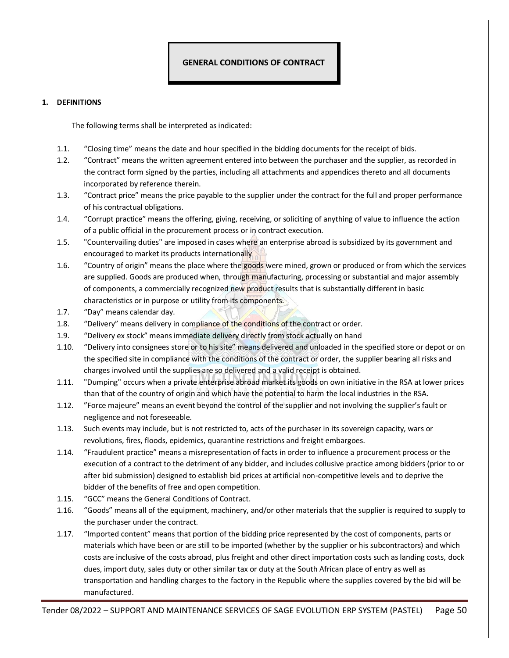# **1. DEFINITIONS**

<span id="page-49-0"></span>The following terms shall be interpreted as indicated:

- 1.1. "Closing time" means the date and hour specified in the bidding documents for the receipt of bids.
- 1.2. "Contract" means the written agreement entered into between the purchaser and the supplier, as recorded in the contract form signed by the parties, including all attachments and appendices thereto and all documents incorporated by reference therein.
- 1.3. "Contract price" means the price payable to the supplier under the contract for the full and proper performance of his contractual obligations.
- 1.4. "Corrupt practice" means the offering, giving, receiving, or soliciting of anything of value to influence the action of a public official in the procurement process or in contract execution.
- 1.5. "Countervailing duties" are imposed in cases where an enterprise abroad is subsidized by its government and encouraged to market its products internationally
- 1.6. "Country of origin" means the place where the goods were mined, grown or produced or from which the services are supplied. Goods are produced when, through manufacturing, processing or substantial and major assembly of components, a commercially recognized new product results that is substantially different in basic characteristics or in purpose or utility from its components.
- 1.7. "Day" means calendar day.
- 1.8. "Delivery" means delivery in compliance of the conditions of the contract or order.
- 1.9. "Delivery ex stock" means immediate delivery directly from stock actually on hand
- 1.10. "Delivery into consignees store or to his site" means delivered and unloaded in the specified store or depot or on the specified site in compliance with the conditions of the contract or order, the supplier bearing all risks and charges involved until the supplies are so delivered and a valid receipt is obtained.
- 1.11. "Dumping" occurs when a private enterprise abroad market its goods on own initiative in the RSA at lower prices than that of the country of origin and which have the potential to harm the local industries in the RSA.
- 1.12. "Force majeure" means an event beyond the control of the supplier and not involving the supplier's fault or negligence and not foreseeable.
- 1.13. Such events may include, but is not restricted to, acts of the purchaser in its sovereign capacity, wars or revolutions, fires, floods, epidemics, quarantine restrictions and freight embargoes.
- 1.14. "Fraudulent practice" means a misrepresentation of facts in order to influence a procurement process or the execution of a contract to the detriment of any bidder, and includes collusive practice among bidders (prior to or after bid submission) designed to establish bid prices at artificial non-competitive levels and to deprive the bidder of the benefits of free and open competition.
- 1.15. "GCC" means the General Conditions of Contract.
- 1.16. "Goods" means all of the equipment, machinery, and/or other materials that the supplier is required to supply to the purchaser under the contract.
- 1.17. "Imported content" means that portion of the bidding price represented by the cost of components, parts or materials which have been or are still to be imported (whether by the supplier or his subcontractors) and which costs are inclusive of the costs abroad, plus freight and other direct importation costs such as landing costs, dock dues, import duty, sales duty or other similar tax or duty at the South African place of entry as well as transportation and handling charges to the factory in the Republic where the supplies covered by the bid will be manufactured.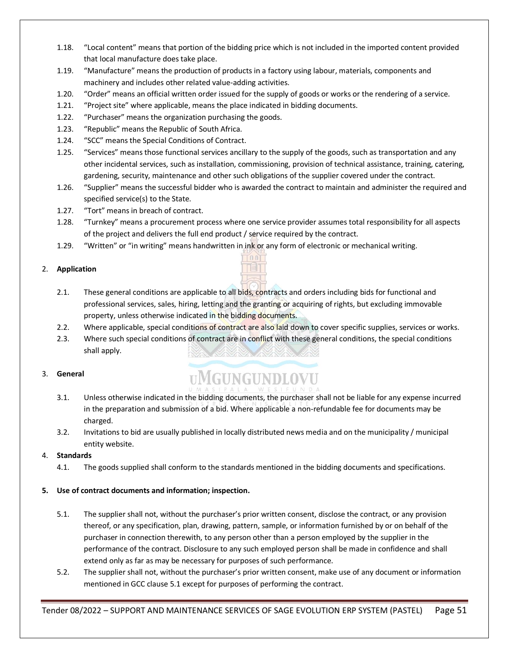- 1.18. "Local content" means that portion of the bidding price which is not included in the imported content provided that local manufacture does take place.
- 1.19. "Manufacture" means the production of products in a factory using labour, materials, components and machinery and includes other related value-adding activities.
- 1.20. "Order" means an official written order issued for the supply of goods or works or the rendering of a service.
- 1.21. "Project site" where applicable, means the place indicated in bidding documents.
- 1.22. "Purchaser" means the organization purchasing the goods.
- 1.23. "Republic" means the Republic of South Africa.
- 1.24. "SCC" means the Special Conditions of Contract.
- 1.25. "Services" means those functional services ancillary to the supply of the goods, such as transportation and any other incidental services, such as installation, commissioning, provision of technical assistance, training, catering, gardening, security, maintenance and other such obligations of the supplier covered under the contract.
- 1.26. "Supplier" means the successful bidder who is awarded the contract to maintain and administer the required and specified service(s) to the State.
- 1.27. "Tort" means in breach of contract.
- 1.28. "Turnkey" means a procurement process where one service provider assumes total responsibility for all aspects of the project and delivers the full end product / service required by the contract.

TOOT **TET** 

1.29. "Written" or "in writing" means handwritten in ink or any form of electronic or mechanical writing.

# 2. **Application**

- 2.1. These general conditions are applicable to all bids, contracts and orders including bids for functional and professional services, sales, hiring, letting and the granting or acquiring of rights, but excluding immovable property, unless otherwise indicated in the bidding documents.
- 2.2. Where applicable, special conditions of contract are also laid down to cover specific supplies, services or works.
- 2.3. Where such special conditions of contract are in conflict with these general conditions, the special conditions shall apply.

# 3. **General**

# **UMGUNGUNDLOVU**

- 3.1. Unless otherwise indicated in the bidding documents, the purchaser shall not be liable for any expense incurred in the preparation and submission of a bid. Where applicable a non-refundable fee for documents may be charged.
- 3.2. Invitations to bid are usually published in locally distributed news media and on the municipality / municipal entity website.

# 4. **Standards**

4.1. The goods supplied shall conform to the standards mentioned in the bidding documents and specifications.

# **5. Use of contract documents and information; inspection.**

- 5.1. The supplier shall not, without the purchaser's prior written consent, disclose the contract, or any provision thereof, or any specification, plan, drawing, pattern, sample, or information furnished by or on behalf of the purchaser in connection therewith, to any person other than a person employed by the supplier in the performance of the contract. Disclosure to any such employed person shall be made in confidence and shall extend only as far as may be necessary for purposes of such performance.
- 5.2. The supplier shall not, without the purchaser's prior written consent, make use of any document or information mentioned in GCC clause 5.1 except for purposes of performing the contract.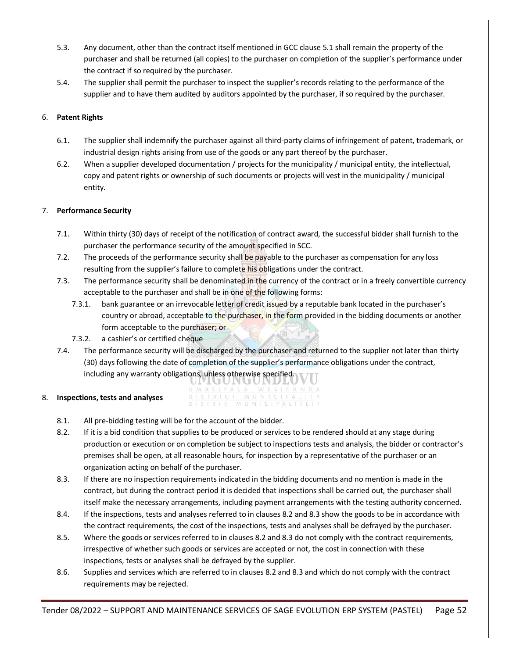- 5.3. Any document, other than the contract itself mentioned in GCC clause 5.1 shall remain the property of the purchaser and shall be returned (all copies) to the purchaser on completion of the supplier's performance under the contract if so required by the purchaser.
- 5.4. The supplier shall permit the purchaser to inspect the supplier's records relating to the performance of the supplier and to have them audited by auditors appointed by the purchaser, if so required by the purchaser.

# 6. **Patent Rights**

- 6.1. The supplier shall indemnify the purchaser against all third-party claims of infringement of patent, trademark, or industrial design rights arising from use of the goods or any part thereof by the purchaser.
- 6.2. When a supplier developed documentation / projects for the municipality / municipal entity, the intellectual, copy and patent rights or ownership of such documents or projects will vest in the municipality / municipal entity.

# 7. **Performance Security**

- 7.1. Within thirty (30) days of receipt of the notification of contract award, the successful bidder shall furnish to the purchaser the performance security of the amount specified in SCC.
- 7.2. The proceeds of the performance security shall be payable to the purchaser as compensation for any loss resulting from the supplier's failure to complete his obligations under the contract.
- 7.3. The performance security shall be denominated in the currency of the contract or in a freely convertible currency acceptable to the purchaser and shall be in one of the following forms:
	- 7.3.1. bank guarantee or an irrevocable letter of credit issued by a reputable bank located in the purchaser's country or abroad, acceptable to the purchaser, in the form provided in the bidding documents or another form acceptable to the purchaser; or
	- 7.3.2. a cashier's or certified cheque
- 7.4. The performance security will be discharged by the purchaser and returned to the supplier not later than thirty (30) days following the date of completion of the supplier's performance obligations under the contract, including any warranty obligations, unless otherwise specified.

#### 8. **Inspections, tests and analyses**

- GAN U IN WESIFUNDA ASIPA MUNICIPA DISTRICT DISTRIK MUNISIPAL
- 8.1. All pre-bidding testing will be for the account of the bidder.
- 8.2. If it is a bid condition that supplies to be produced or services to be rendered should at any stage during production or execution or on completion be subject to inspections tests and analysis, the bidder or contractor's premises shall be open, at all reasonable hours, for inspection by a representative of the purchaser or an organization acting on behalf of the purchaser.
- 8.3. If there are no inspection requirements indicated in the bidding documents and no mention is made in the contract, but during the contract period it is decided that inspections shall be carried out, the purchaser shall itself make the necessary arrangements, including payment arrangements with the testing authority concerned.
- 8.4. If the inspections, tests and analyses referred to in clauses 8.2 and 8.3 show the goods to be in accordance with the contract requirements, the cost of the inspections, tests and analyses shall be defrayed by the purchaser.
- 8.5. Where the goods or services referred to in clauses 8.2 and 8.3 do not comply with the contract requirements, irrespective of whether such goods or services are accepted or not, the cost in connection with these inspections, tests or analyses shall be defrayed by the supplier.
- 8.6. Supplies and services which are referred to in clauses 8.2 and 8.3 and which do not comply with the contract requirements may be rejected.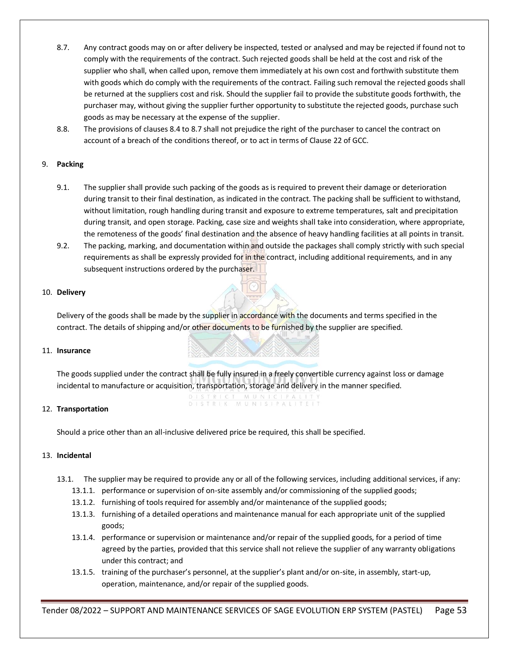- 8.7. Any contract goods may on or after delivery be inspected, tested or analysed and may be rejected if found not to comply with the requirements of the contract. Such rejected goods shall be held at the cost and risk of the supplier who shall, when called upon, remove them immediately at his own cost and forthwith substitute them with goods which do comply with the requirements of the contract. Failing such removal the rejected goods shall be returned at the suppliers cost and risk. Should the supplier fail to provide the substitute goods forthwith, the purchaser may, without giving the supplier further opportunity to substitute the rejected goods, purchase such goods as may be necessary at the expense of the supplier.
- 8.8. The provisions of clauses 8.4 to 8.7 shall not prejudice the right of the purchaser to cancel the contract on account of a breach of the conditions thereof, or to act in terms of Clause 22 of GCC.

#### 9. **Packing**

- 9.1. The supplier shall provide such packing of the goods as is required to prevent their damage or deterioration during transit to their final destination, as indicated in the contract. The packing shall be sufficient to withstand, without limitation, rough handling during transit and exposure to extreme temperatures, salt and precipitation during transit, and open storage. Packing, case size and weights shall take into consideration, where appropriate, the remoteness of the goods' final destination and the absence of heavy handling facilities at all points in transit.
- 9.2. The packing, marking, and documentation within and outside the packages shall comply strictly with such special requirements as shall be expressly provided for in the contract, including additional requirements, and in any subsequent instructions ordered by the purchaser.

#### 10. **Delivery**

Delivery of the goods shall be made by the supplier in accordance with the documents and terms specified in the contract. The details of shipping and/or other documents to be furnished by the supplier are specified.

#### 11. **Insurance**

The goods supplied under the contract shall be fully insured in a freely convertible currency against loss or damage incidental to manufacture or acquisition, transportation, storage and delivery in the manner specified.

#### 12. **Transportation**

Should a price other than an all-inclusive delivered price be required, this shall be specified.

#### 13. **Incidental**

- 13.1. The supplier may be required to provide any or all of the following services, including additional services, if any:
	- 13.1.1. performance or supervision of on-site assembly and/or commissioning of the supplied goods;
	- 13.1.2. furnishing of tools required for assembly and/or maintenance of the supplied goods;
	- 13.1.3. furnishing of a detailed operations and maintenance manual for each appropriate unit of the supplied goods;
	- 13.1.4. performance or supervision or maintenance and/or repair of the supplied goods, for a period of time agreed by the parties, provided that this service shall not relieve the supplier of any warranty obligations under this contract; and
	- 13.1.5. training of the purchaser's personnel, at the supplier's plant and/or on-site, in assembly, start-up, operation, maintenance, and/or repair of the supplied goods.

Tender 08/2022 – SUPPORT AND MAINTENANCE SERVICES OF SAGE EVOLUTION ERP SYSTEM (PASTEL) Page 53

# MUNISIPAL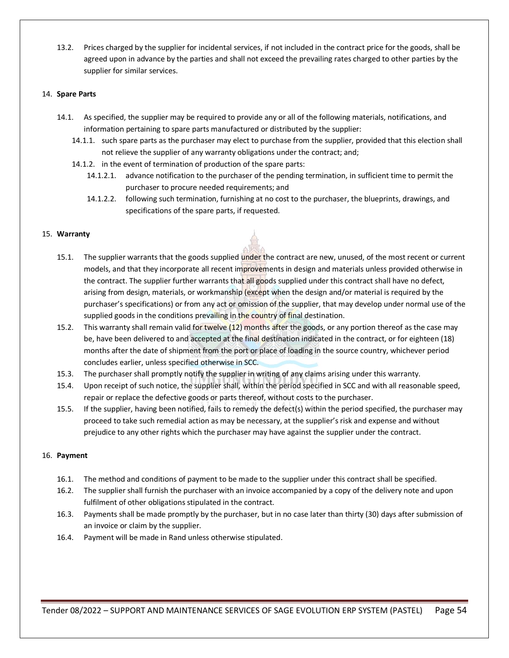13.2. Prices charged by the supplier for incidental services, if not included in the contract price for the goods, shall be agreed upon in advance by the parties and shall not exceed the prevailing rates charged to other parties by the supplier for similar services.

#### 14. **Spare Parts**

- 14.1. As specified, the supplier may be required to provide any or all of the following materials, notifications, and information pertaining to spare parts manufactured or distributed by the supplier:
	- 14.1.1. such spare parts as the purchaser may elect to purchase from the supplier, provided that this election shall not relieve the supplier of any warranty obligations under the contract; and;
	- 14.1.2. in the event of termination of production of the spare parts:
		- 14.1.2.1. advance notification to the purchaser of the pending termination, in sufficient time to permit the purchaser to procure needed requirements; and
			- 14.1.2.2. following such termination, furnishing at no cost to the purchaser, the blueprints, drawings, and specifications of the spare parts, if requested.

#### 15. **Warranty**

- 15.1. The supplier warrants that the goods supplied under the contract are new, unused, of the most recent or current models, and that they incorporate all recent improvements in design and materials unless provided otherwise in the contract. The supplier further warrants that all goods supplied under this contract shall have no defect, arising from design, materials, or workmanship (except when the design and/or material is required by the purchaser's specifications) or from any act or omission of the supplier, that may develop under normal use of the supplied goods in the conditions prevailing in the country of final destination.
- 15.2. This warranty shall remain valid for twelve (12) months after the goods, or any portion thereof as the case may be, have been delivered to and accepted at the final destination indicated in the contract, or for eighteen (18) months after the date of shipment from the port or place of loading in the source country, whichever period concludes earlier, unless specified otherwise in SCC.
- 15.3. The purchaser shall promptly notify the supplier in writing of any claims arising under this warranty.
- 15.4. Upon receipt of such notice, the supplier shall, within the period specified in SCC and with all reasonable speed, repair or replace the defective goods or parts thereof, without costs to the purchaser.
- 15.5. If the supplier, having been notified, fails to remedy the defect(s) within the period specified, the purchaser may proceed to take such remedial action as may be necessary, at the supplier's risk and expense and without prejudice to any other rights which the purchaser may have against the supplier under the contract.

#### 16. **Payment**

- 16.1. The method and conditions of payment to be made to the supplier under this contract shall be specified.
- 16.2. The supplier shall furnish the purchaser with an invoice accompanied by a copy of the delivery note and upon fulfilment of other obligations stipulated in the contract.
- 16.3. Payments shall be made promptly by the purchaser, but in no case later than thirty (30) days after submission of an invoice or claim by the supplier.
- 16.4. Payment will be made in Rand unless otherwise stipulated.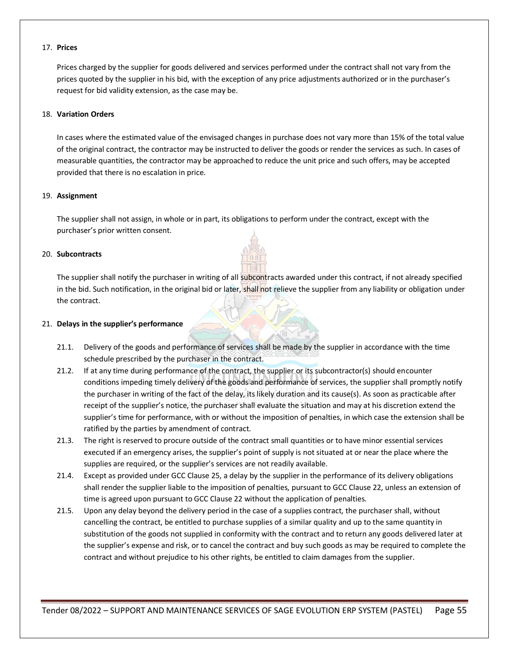#### 17. **Prices**

Prices charged by the supplier for goods delivered and services performed under the contract shall not vary from the prices quoted by the supplier in his bid, with the exception of any price adjustments authorized or in the purchaser's request for bid validity extension, as the case may be.

#### 18. **Variation Orders**

In cases where the estimated value of the envisaged changes in purchase does not vary more than 15% of the total value of the original contract, the contractor may be instructed to deliver the goods or render the services as such. In cases of measurable quantities, the contractor may be approached to reduce the unit price and such offers, may be accepted provided that there is no escalation in price.

#### 19. **Assignment**

The supplier shall not assign, in whole or in part, its obligations to perform under the contract, except with the purchaser's prior written consent.

#### 20. **Subcontracts**

The supplier shall notify the purchaser in writing of all subcontracts awarded under this contract, if not already specified in the bid. Such notification, in the original bid or later, shall not relieve the supplier from any liability or obligation under the contract.

#### 21. **Delays in the supplier's performance**

- 21.1. Delivery of the goods and performance of services shall be made by the supplier in accordance with the time schedule prescribed by the purchaser in the contract.
- 21.2. If at any time during performance of the contract, the supplier or its subcontractor(s) should encounter conditions impeding timely delivery of the goods and performance of services, the supplier shall promptly notify the purchaser in writing of the fact of the delay, its likely duration and its cause(s). As soon as practicable after receipt of the supplier's notice, the purchaser shall evaluate the situation and may at his discretion extend the supplier's time for performance, with or without the imposition of penalties, in which case the extension shall be ratified by the parties by amendment of contract.
- 21.3. The right is reserved to procure outside of the contract small quantities or to have minor essential services executed if an emergency arises, the supplier's point of supply is not situated at or near the place where the supplies are required, or the supplier's services are not readily available.
- 21.4. Except as provided under GCC Clause 25, a delay by the supplier in the performance of its delivery obligations shall render the supplier liable to the imposition of penalties, pursuant to GCC Clause 22, unless an extension of time is agreed upon pursuant to GCC Clause 22 without the application of penalties.
- 21.5. Upon any delay beyond the delivery period in the case of a supplies contract, the purchaser shall, without cancelling the contract, be entitled to purchase supplies of a similar quality and up to the same quantity in substitution of the goods not supplied in conformity with the contract and to return any goods delivered later at the supplier's expense and risk, or to cancel the contract and buy such goods as may be required to complete the contract and without prejudice to his other rights, be entitled to claim damages from the supplier.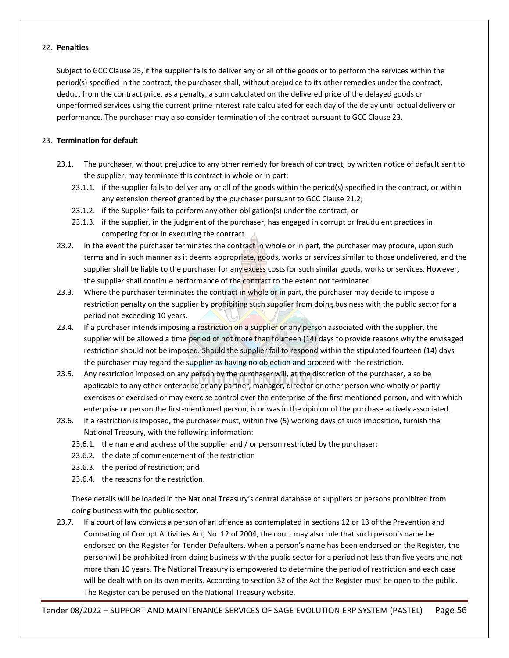#### 22. **Penalties**

Subject to GCC Clause 25, if the supplier fails to deliver any or all of the goods or to perform the services within the period(s) specified in the contract, the purchaser shall, without prejudice to its other remedies under the contract, deduct from the contract price, as a penalty, a sum calculated on the delivered price of the delayed goods or unperformed services using the current prime interest rate calculated for each day of the delay until actual delivery or performance. The purchaser may also consider termination of the contract pursuant to GCC Clause 23.

#### 23. **Termination for default**

- 23.1. The purchaser, without prejudice to any other remedy for breach of contract, by written notice of default sent to the supplier, may terminate this contract in whole or in part:
	- 23.1.1. if the supplier fails to deliver any or all of the goods within the period(s) specified in the contract, or within any extension thereof granted by the purchaser pursuant to GCC Clause 21.2;
	- 23.1.2. if the Supplier fails to perform any other obligation(s) under the contract; or
	- 23.1.3. if the supplier, in the judgment of the purchaser, has engaged in corrupt or fraudulent practices in competing for or in executing the contract.
- 23.2. In the event the purchaser terminates the contract in whole or in part, the purchaser may procure, upon such terms and in such manner as it deems appropriate, goods, works or services similar to those undelivered, and the supplier shall be liable to the purchaser for any excess costs for such similar goods, works or services. However, the supplier shall continue performance of the contract to the extent not terminated.
- 23.3. Where the purchaser terminates the contract in whole or in part, the purchaser may decide to impose a restriction penalty on the supplier by prohibiting such supplier from doing business with the public sector for a period not exceeding 10 years.
- 23.4. If a purchaser intends imposing a restriction on a supplier or any person associated with the supplier, the supplier will be allowed a time period of not more than fourteen (14) days to provide reasons why the envisaged restriction should not be imposed. Should the supplier fail to respond within the stipulated fourteen (14) days the purchaser may regard the supplier as having no objection and proceed with the restriction.
- 23.5. Any restriction imposed on any person by the purchaser will, at the discretion of the purchaser, also be applicable to any other enterprise or any partner, manager, director or other person who wholly or partly exercises or exercised or may exercise control over the enterprise of the first mentioned person, and with which enterprise or person the first-mentioned person, is or was in the opinion of the purchase actively associated.
- 23.6. If a restriction is imposed, the purchaser must, within five (5) working days of such imposition, furnish the National Treasury, with the following information:
	- 23.6.1. the name and address of the supplier and / or person restricted by the purchaser;
	- 23.6.2. the date of commencement of the restriction
	- 23.6.3. the period of restriction; and
	- 23.6.4. the reasons for the restriction.

These details will be loaded in the National Treasury's central database of suppliers or persons prohibited from doing business with the public sector.

23.7. If a court of law convicts a person of an offence as contemplated in sections 12 or 13 of the Prevention and Combating of Corrupt Activities Act, No. 12 of 2004, the court may also rule that such person's name be endorsed on the Register for Tender Defaulters. When a person's name has been endorsed on the Register, the person will be prohibited from doing business with the public sector for a period not less than five years and not more than 10 years. The National Treasury is empowered to determine the period of restriction and each case will be dealt with on its own merits. According to section 32 of the Act the Register must be open to the public. The Register can be perused on the National Treasury website.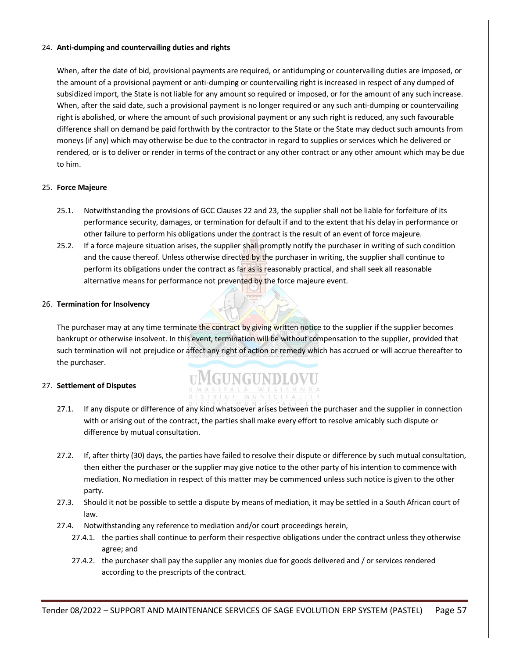#### 24. **Anti-dumping and countervailing duties and rights**

When, after the date of bid, provisional payments are required, or antidumping or countervailing duties are imposed, or the amount of a provisional payment or anti-dumping or countervailing right is increased in respect of any dumped of subsidized import, the State is not liable for any amount so required or imposed, or for the amount of any such increase. When, after the said date, such a provisional payment is no longer required or any such anti-dumping or countervailing right is abolished, or where the amount of such provisional payment or any such right is reduced, any such favourable difference shall on demand be paid forthwith by the contractor to the State or the State may deduct such amounts from moneys (if any) which may otherwise be due to the contractor in regard to supplies or services which he delivered or rendered, or is to deliver or render in terms of the contract or any other contract or any other amount which may be due to him.

#### 25. **Force Majeure**

- 25.1. Notwithstanding the provisions of GCC Clauses 22 and 23, the supplier shall not be liable for forfeiture of its performance security, damages, or termination for default if and to the extent that his delay in performance or other failure to perform his obligations under the contract is the result of an event of force majeure.
- 25.2. If a force majeure situation arises, the supplier shall promptly notify the purchaser in writing of such condition and the cause thereof. Unless otherwise directed by the purchaser in writing, the supplier shall continue to perform its obligations under the contract as far as is reasonably practical, and shall seek all reasonable alternative means for performance not prevented by the force majeure event.

#### 26. **Termination for Insolvency**

The purchaser may at any time terminate the contract by giving written notice to the supplier if the supplier becomes bankrupt or otherwise insolvent. In this event, termination will be without compensation to the supplier, provided that such termination will not prejudice or affect any right of action or remedy which has accrued or will accrue thereafter to the purchaser.

**UMGUNGUNDLOVU** 

#### 27. **Settlement of Disputes**

- 27.1. If any dispute or difference of any kind whatsoever arises between the purchaser and the supplier in connection with or arising out of the contract, the parties shall make every effort to resolve amicably such dispute or difference by mutual consultation.
- 27.2. If, after thirty (30) days, the parties have failed to resolve their dispute or difference by such mutual consultation, then either the purchaser or the supplier may give notice to the other party of his intention to commence with mediation. No mediation in respect of this matter may be commenced unless such notice is given to the other party.
- 27.3. Should it not be possible to settle a dispute by means of mediation, it may be settled in a South African court of law.
- 27.4. Notwithstanding any reference to mediation and/or court proceedings herein,
	- 27.4.1. the parties shall continue to perform their respective obligations under the contract unless they otherwise agree; and
	- 27.4.2. the purchaser shall pay the supplier any monies due for goods delivered and / or services rendered according to the prescripts of the contract.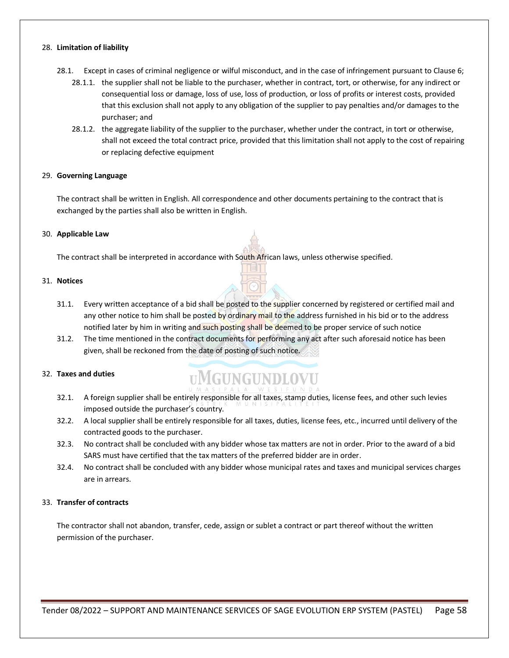#### 28. **Limitation of liability**

- 28.1. Except in cases of criminal negligence or wilful misconduct, and in the case of infringement pursuant to Clause 6;
	- 28.1.1. the supplier shall not be liable to the purchaser, whether in contract, tort, or otherwise, for any indirect or consequential loss or damage, loss of use, loss of production, or loss of profits or interest costs, provided that this exclusion shall not apply to any obligation of the supplier to pay penalties and/or damages to the purchaser; and
	- 28.1.2. the aggregate liability of the supplier to the purchaser, whether under the contract, in tort or otherwise, shall not exceed the total contract price, provided that this limitation shall not apply to the cost of repairing or replacing defective equipment

#### 29. **Governing Language**

The contract shall be written in English. All correspondence and other documents pertaining to the contract that is exchanged by the parties shall also be written in English.

#### 30. **Applicable Law**

The contract shall be interpreted in accordance with South African laws, unless otherwise specified.

#### 31. **Notices**

- 31.1. Every written acceptance of a bid shall be posted to the supplier concerned by registered or certified mail and any other notice to him shall be posted by ordinary mail to the address furnished in his bid or to the address notified later by him in writing and such posting shall be deemed to be proper service of such notice
- 31.2. The time mentioned in the contract documents for performing any act after such aforesaid notice has been given, shall be reckoned from the date of posting of such notice.

#### 32. **Taxes and duties**

# **UMGUNGUNDLOVU**

- 32.1. A foreign supplier shall be entirely responsible for all taxes, stamp duties, license fees, and other such levies imposed outside the purchaser's country.
- 32.2. A local supplier shall be entirely responsible for all taxes, duties, license fees, etc., incurred until delivery of the contracted goods to the purchaser.
- 32.3. No contract shall be concluded with any bidder whose tax matters are not in order. Prior to the award of a bid SARS must have certified that the tax matters of the preferred bidder are in order.
- 32.4. No contract shall be concluded with any bidder whose municipal rates and taxes and municipal services charges are in arrears.

#### 33. **Transfer of contracts**

The contractor shall not abandon, transfer, cede, assign or sublet a contract or part thereof without the written permission of the purchaser.